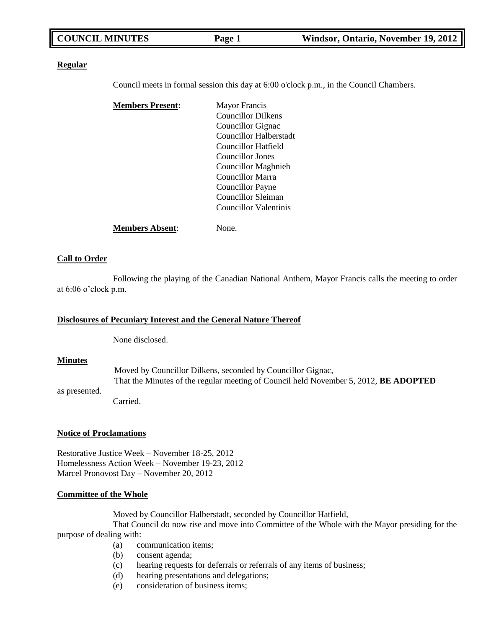#### **Regular**

Council meets in formal session this day at 6:00 o'clock p.m., in the Council Chambers.

| <b>Members Present:</b> | <b>Mayor Francis</b>       |
|-------------------------|----------------------------|
|                         | <b>Councillor Dilkens</b>  |
|                         | Councillor Gignac          |
|                         | Councillor Halberstadt     |
|                         | Councillor Hatfield        |
|                         | Councillor Jones           |
|                         | <b>Councillor Maghnieh</b> |
|                         | Councillor Marra           |
|                         | Councillor Payne           |
|                         | Councillor Sleiman         |
|                         | Councillor Valentinis      |
| <b>Members Absent:</b>  | None.                      |

#### **Call to Order**

Following the playing of the Canadian National Anthem, Mayor Francis calls the meeting to order at 6:06 o'clock p.m.

### **Disclosures of Pecuniary Interest and the General Nature Thereof**

None disclosed.

#### **Minutes**

Moved by Councillor Dilkens, seconded by Councillor Gignac, That the Minutes of the regular meeting of Council held November 5, 2012, **BE ADOPTED**

as presented. Carried.

#### **Notice of Proclamations**

Restorative Justice Week – November 18-25, 2012 Homelessness Action Week – November 19-23, 2012 Marcel Pronovost Day – November 20, 2012

#### **Committee of the Whole**

Moved by Councillor Halberstadt, seconded by Councillor Hatfield,

That Council do now rise and move into Committee of the Whole with the Mayor presiding for the purpose of dealing with:

- (a) communication items;
- (b) consent agenda;
- (c) hearing requests for deferrals or referrals of any items of business;
- (d) hearing presentations and delegations;
- (e) consideration of business items;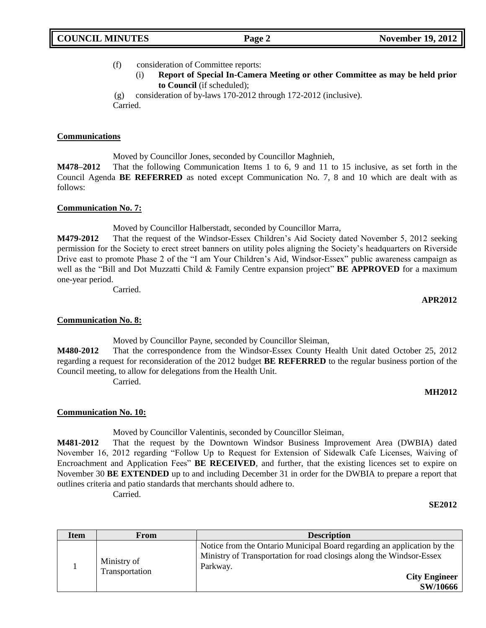## (f) consideration of Committee reports:

(i) **Report of Special In-Camera Meeting or other Committee as may be held prior to Council** (if scheduled);

(g) consideration of by-laws 170-2012 through 172-2012 (inclusive). Carried.

#### **Communications**

Moved by Councillor Jones, seconded by Councillor Maghnieh,

**M478–2012** That the following Communication Items 1 to 6, 9 and 11 to 15 inclusive, as set forth in the Council Agenda **BE REFERRED** as noted except Communication No. 7, 8 and 10 which are dealt with as follows:

#### **Communication No. 7:**

Moved by Councillor Halberstadt, seconded by Councillor Marra,

**M479-2012** That the request of the Windsor-Essex Children's Aid Society dated November 5, 2012 seeking permission for the Society to erect street banners on utility poles aligning the Society's headquarters on Riverside Drive east to promote Phase 2 of the "I am Your Children's Aid, Windsor-Essex" public awareness campaign as well as the "Bill and Dot Muzzatti Child & Family Centre expansion project" **BE APPROVED** for a maximum one-year period.

Carried.

#### **APR2012**

## **Communication No. 8:**

Moved by Councillor Payne, seconded by Councillor Sleiman,

**M480-2012** That the correspondence from the Windsor-Essex County Health Unit dated October 25, 2012 regarding a request for reconsideration of the 2012 budget **BE REFERRED** to the regular business portion of the Council meeting, to allow for delegations from the Health Unit.

Carried.

## **MH2012**

## **Communication No. 10:**

Moved by Councillor Valentinis, seconded by Councillor Sleiman,

**M481-2012** That the request by the Downtown Windsor Business Improvement Area (DWBIA) dated November 16, 2012 regarding "Follow Up to Request for Extension of Sidewalk Cafe Licenses, Waiving of Encroachment and Application Fees" **BE RECEIVED**, and further, that the existing licences set to expire on November 30 **BE EXTENDED** up to and including December 31 in order for the DWBIA to prepare a report that outlines criteria and patio standards that merchants should adhere to. Carried.

#### **SE2012**

| Item | From                          | <b>Description</b>                                                                                                                                                                                     |
|------|-------------------------------|--------------------------------------------------------------------------------------------------------------------------------------------------------------------------------------------------------|
|      | Ministry of<br>Transportation | Notice from the Ontario Municipal Board regarding an application by the<br>Ministry of Transportation for road closings along the Windsor-Essex<br>Parkway.<br><b>City Engineer</b><br><b>SW/10666</b> |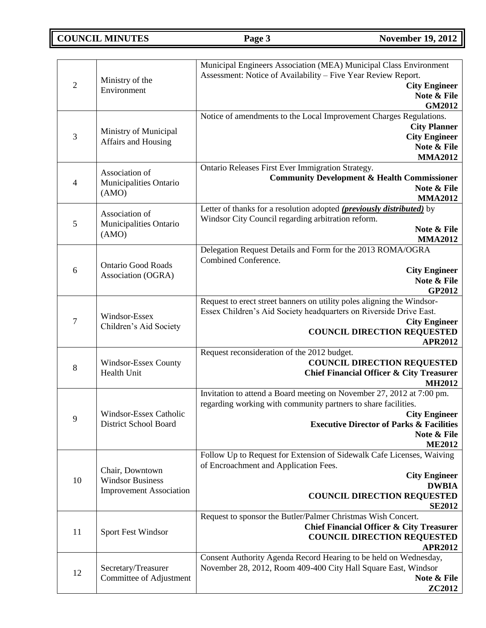**COUNCIL MINUTES Page 3 November 19, 2012** 

| $\sqrt{2}$     | Ministry of the<br>Environment                                               | Municipal Engineers Association (MEA) Municipal Class Environment<br>Assessment: Notice of Availability - Five Year Review Report.<br><b>City Engineer</b><br>Note & File<br><b>GM2012</b>                                                             |
|----------------|------------------------------------------------------------------------------|--------------------------------------------------------------------------------------------------------------------------------------------------------------------------------------------------------------------------------------------------------|
| 3              | Ministry of Municipal<br>Affairs and Housing                                 | Notice of amendments to the Local Improvement Charges Regulations.<br><b>City Planner</b><br><b>City Engineer</b><br>Note & File<br><b>MMA2012</b>                                                                                                     |
| $\overline{4}$ | Association of<br>Municipalities Ontario<br>(AMO)                            | Ontario Releases First Ever Immigration Strategy.<br><b>Community Development &amp; Health Commissioner</b><br>Note & File<br><b>MMA2012</b>                                                                                                           |
| $\mathfrak{S}$ | Association of<br>Municipalities Ontario<br>(AMO)                            | Letter of thanks for a resolution adopted (previously distributed) by<br>Windsor City Council regarding arbitration reform.<br>Note & File<br><b>MMA2012</b>                                                                                           |
| 6              | <b>Ontario Good Roads</b><br>Association (OGRA)                              | Delegation Request Details and Form for the 2013 ROMA/OGRA<br>Combined Conference.<br><b>City Engineer</b><br>Note & File<br>GP2012                                                                                                                    |
| $\tau$         | Windsor-Essex<br>Children's Aid Society                                      | Request to erect street banners on utility poles aligning the Windsor-<br>Essex Children's Aid Society headquarters on Riverside Drive East.<br><b>City Engineer</b><br><b>COUNCIL DIRECTION REQUESTED</b><br><b>APR2012</b>                           |
| 8              | Windsor-Essex County<br>Health Unit                                          | Request reconsideration of the 2012 budget.<br><b>COUNCIL DIRECTION REQUESTED</b><br><b>Chief Financial Officer &amp; City Treasurer</b><br><b>MH2012</b>                                                                                              |
| 9              | Windsor-Essex Catholic<br><b>District School Board</b>                       | Invitation to attend a Board meeting on November 27, 2012 at 7:00 pm.<br>regarding working with community partners to share facilities.<br><b>City Engineer</b><br><b>Executive Director of Parks &amp; Facilities</b><br>Note & File<br><b>ME2012</b> |
| 10             | Chair, Downtown<br><b>Windsor Business</b><br><b>Improvement Association</b> | Follow Up to Request for Extension of Sidewalk Cafe Licenses, Waiving<br>of Encroachment and Application Fees.<br><b>City Engineer</b><br><b>DWBIA</b><br><b>COUNCIL DIRECTION REQUESTED</b><br><b>SE2012</b>                                          |
| 11             | <b>Sport Fest Windsor</b>                                                    | Request to sponsor the Butler/Palmer Christmas Wish Concert.<br><b>Chief Financial Officer &amp; City Treasurer</b><br><b>COUNCIL DIRECTION REQUESTED</b><br><b>APR2012</b>                                                                            |
| 12             | Secretary/Treasurer<br>Committee of Adjustment                               | Consent Authority Agenda Record Hearing to be held on Wednesday,<br>November 28, 2012, Room 409-400 City Hall Square East, Windsor<br>Note & File<br><b>ZC2012</b>                                                                                     |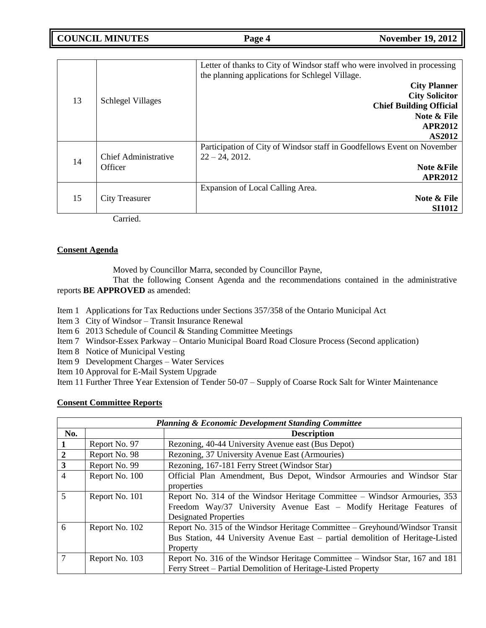**COUNCIL MINUTES Page 4 November 19, 2012** 

|    | <b>Schlegel Villages</b>               | Letter of thanks to City of Windsor staff who were involved in processing<br>the planning applications for Schlegel Village. |
|----|----------------------------------------|------------------------------------------------------------------------------------------------------------------------------|
| 13 |                                        | <b>City Planner</b>                                                                                                          |
|    |                                        | <b>City Solicitor</b>                                                                                                        |
|    |                                        | <b>Chief Building Official</b>                                                                                               |
|    |                                        | Note & File                                                                                                                  |
|    |                                        | <b>APR2012</b>                                                                                                               |
|    |                                        | <b>AS2012</b>                                                                                                                |
|    |                                        | Participation of City of Windsor staff in Goodfellows Event on November                                                      |
|    | <b>Chief Administrative</b><br>Officer | $22 - 24, 2012.$                                                                                                             |
| 14 |                                        | Note & File                                                                                                                  |
|    |                                        | <b>APR2012</b>                                                                                                               |
| 15 | City Treasurer                         | Expansion of Local Calling Area.                                                                                             |
|    |                                        | Note & File                                                                                                                  |
|    |                                        | <b>SI1012</b>                                                                                                                |
|    | $C2$ and $\sim$ $\Delta$               |                                                                                                                              |

Carried.

## **Consent Agenda**

Moved by Councillor Marra, seconded by Councillor Payne,

That the following Consent Agenda and the recommendations contained in the administrative reports **BE APPROVED** as amended:

- Item 1 Applications for Tax Reductions under Sections 357/358 of the Ontario Municipal Act
- Item 3 City of Windsor Transit Insurance Renewal
- Item 6 2013 Schedule of Council & Standing Committee Meetings
- Item 7 Windsor-Essex Parkway Ontario Municipal Board Road Closure Process (Second application)
- Item 8 Notice of Municipal Vesting
- Item 9 Development Charges Water Services
- Item 10 Approval for E-Mail System Upgrade

Item 11 Further Three Year Extension of Tender 50-07 – Supply of Coarse Rock Salt for Winter Maintenance

# **Consent Committee Reports**

| <b>Planning &amp; Economic Development Standing Committee</b> |                    |                                                                                |  |
|---------------------------------------------------------------|--------------------|--------------------------------------------------------------------------------|--|
| No.                                                           | <b>Description</b> |                                                                                |  |
|                                                               | Report No. 97      | Rezoning, 40-44 University Avenue east (Bus Depot)                             |  |
| $\overline{2}$                                                | Report No. 98      | Rezoning, 37 University Avenue East (Armouries)                                |  |
| $\mathbf{3}$                                                  | Report No. 99      | Rezoning, 167-181 Ferry Street (Windsor Star)                                  |  |
| $\overline{4}$                                                | Report No. 100     | Official Plan Amendment, Bus Depot, Windsor Armouries and Windsor Star         |  |
|                                                               |                    | properties                                                                     |  |
| 5                                                             | Report No. 101     | Report No. 314 of the Windsor Heritage Committee – Windsor Armouries, 353      |  |
|                                                               |                    | Freedom Way/37 University Avenue East – Modify Heritage Features of            |  |
|                                                               |                    | <b>Designated Properties</b>                                                   |  |
| 6                                                             | Report No. 102     | Report No. 315 of the Windsor Heritage Committee – Greyhound/Windsor Transit   |  |
|                                                               |                    | Bus Station, 44 University Avenue East – partial demolition of Heritage-Listed |  |
|                                                               |                    | Property                                                                       |  |
| $\tau$                                                        | Report No. 103     | Report No. 316 of the Windsor Heritage Committee – Windsor Star, 167 and 181   |  |
|                                                               |                    | Ferry Street – Partial Demolition of Heritage-Listed Property                  |  |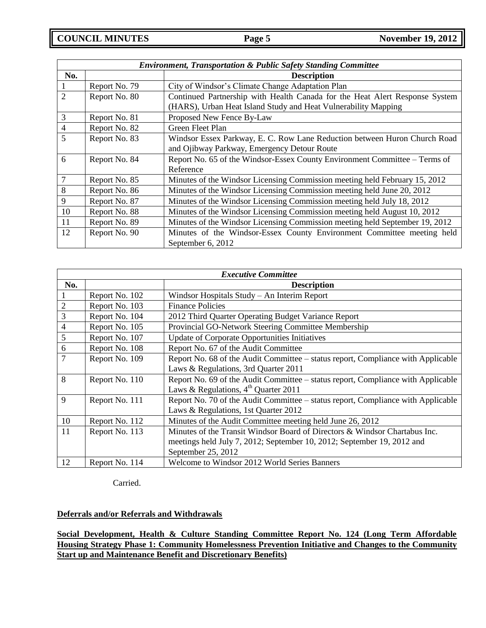| <b>Environment, Transportation &amp; Public Safety Standing Committee</b> |               |                                                                             |  |
|---------------------------------------------------------------------------|---------------|-----------------------------------------------------------------------------|--|
| No.                                                                       |               | <b>Description</b>                                                          |  |
|                                                                           | Report No. 79 | City of Windsor's Climate Change Adaptation Plan                            |  |
| $\overline{2}$                                                            | Report No. 80 | Continued Partnership with Health Canada for the Heat Alert Response System |  |
|                                                                           |               | (HARS), Urban Heat Island Study and Heat Vulnerability Mapping              |  |
| 3                                                                         | Report No. 81 | Proposed New Fence By-Law                                                   |  |
| $\overline{4}$                                                            | Report No. 82 | Green Fleet Plan                                                            |  |
| 5                                                                         | Report No. 83 | Windsor Essex Parkway, E. C. Row Lane Reduction between Huron Church Road   |  |
|                                                                           |               | and Ojibway Parkway, Emergency Detour Route                                 |  |
| 6                                                                         | Report No. 84 | Report No. 65 of the Windsor-Essex County Environment Committee – Terms of  |  |
|                                                                           |               | Reference                                                                   |  |
| 7                                                                         | Report No. 85 | Minutes of the Windsor Licensing Commission meeting held February 15, 2012  |  |
| 8                                                                         | Report No. 86 | Minutes of the Windsor Licensing Commission meeting held June 20, 2012      |  |
| 9                                                                         | Report No. 87 | Minutes of the Windsor Licensing Commission meeting held July 18, 2012      |  |
| 10                                                                        | Report No. 88 | Minutes of the Windsor Licensing Commission meeting held August 10, 2012    |  |
| 11                                                                        | Report No. 89 | Minutes of the Windsor Licensing Commission meeting held September 19, 2012 |  |
| 12                                                                        | Report No. 90 | Minutes of the Windsor-Essex County Environment Committee meeting held      |  |
|                                                                           |               | September 6, 2012                                                           |  |

| <b>Executive Committee</b> |                |                                                                                  |
|----------------------------|----------------|----------------------------------------------------------------------------------|
| No.                        |                | <b>Description</b>                                                               |
|                            | Report No. 102 | Windsor Hospitals Study - An Interim Report                                      |
| $\overline{2}$             | Report No. 103 | <b>Finance Policies</b>                                                          |
| 3                          | Report No. 104 | 2012 Third Quarter Operating Budget Variance Report                              |
| 4                          | Report No. 105 | Provincial GO-Network Steering Committee Membership                              |
| 5                          | Report No. 107 | <b>Update of Corporate Opportunities Initiatives</b>                             |
| 6                          | Report No. 108 | Report No. 67 of the Audit Committee                                             |
| 7                          | Report No. 109 | Report No. 68 of the Audit Committee – status report, Compliance with Applicable |
|                            |                | Laws & Regulations, 3rd Quarter 2011                                             |
| 8                          | Report No. 110 | Report No. 69 of the Audit Committee - status report, Compliance with Applicable |
|                            |                | Laws & Regulations, $4^{\text{th}}$ Quarter 2011                                 |
| 9                          | Report No. 111 | Report No. 70 of the Audit Committee – status report, Compliance with Applicable |
|                            |                | Laws & Regulations, 1st Quarter 2012                                             |
| 10                         | Report No. 112 | Minutes of the Audit Committee meeting held June 26, 2012                        |
| 11                         | Report No. 113 | Minutes of the Transit Windsor Board of Directors & Windsor Chartabus Inc.       |
|                            |                | meetings held July 7, 2012; September 10, 2012; September 19, 2012 and           |
|                            |                | September 25, 2012                                                               |
| 12                         | Report No. 114 | Welcome to Windsor 2012 World Series Banners                                     |

Carried.

# **Deferrals and/or Referrals and Withdrawals**

**Social Development, Health & Culture Standing Committee Report No. 124 (Long Term Affordable Housing Strategy Phase 1: Community Homelessness Prevention Initiative and Changes to the Community Start up and Maintenance Benefit and Discretionary Benefits)**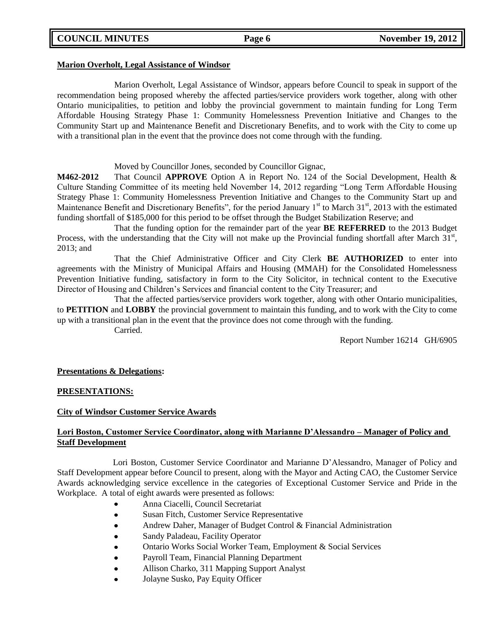### **Marion Overholt, Legal Assistance of Windsor**

Marion Overholt, Legal Assistance of Windsor, appears before Council to speak in support of the recommendation being proposed whereby the affected parties/service providers work together, along with other Ontario municipalities, to petition and lobby the provincial government to maintain funding for Long Term Affordable Housing Strategy Phase 1: Community Homelessness Prevention Initiative and Changes to the Community Start up and Maintenance Benefit and Discretionary Benefits, and to work with the City to come up with a transitional plan in the event that the province does not come through with the funding.

Moved by Councillor Jones, seconded by Councillor Gignac,

**M462-2012** That Council **APPROVE** Option A in Report No. 124 of the Social Development, Health & Culture Standing Committee of its meeting held November 14, 2012 regarding "Long Term Affordable Housing Strategy Phase 1: Community Homelessness Prevention Initiative and Changes to the Community Start up and Maintenance Benefit and Discretionary Benefits", for the period January 1<sup>st</sup> to March 31<sup>st</sup>, 2013 with the estimated funding shortfall of \$185,000 for this period to be offset through the Budget Stabilization Reserve; and

That the funding option for the remainder part of the year **BE REFERRED** to the 2013 Budget Process, with the understanding that the City will not make up the Provincial funding shortfall after March  $31<sup>st</sup>$ , 2013; and

That the Chief Administrative Officer and City Clerk **BE AUTHORIZED** to enter into agreements with the Ministry of Municipal Affairs and Housing (MMAH) for the Consolidated Homelessness Prevention Initiative funding, satisfactory in form to the City Solicitor, in technical content to the Executive Director of Housing and Children's Services and financial content to the City Treasurer; and

That the affected parties/service providers work together, along with other Ontario municipalities, to **PETITION** and **LOBBY** the provincial government to maintain this funding, and to work with the City to come up with a transitional plan in the event that the province does not come through with the funding. Carried.

Report Number 16214 GH/6905

## **Presentations & Delegations:**

## **PRESENTATIONS:**

## **City of Windsor Customer Service Awards**

# **Lori Boston, Customer Service Coordinator, along with Marianne D'Alessandro – Manager of Policy and Staff Development**

Lori Boston, Customer Service Coordinator and Marianne D'Alessandro, Manager of Policy and Staff Development appear before Council to present, along with the Mayor and Acting CAO, the Customer Service Awards acknowledging service excellence in the categories of Exceptional Customer Service and Pride in the Workplace. A total of eight awards were presented as follows:

- Anna Ciacelli, Council Secretariat
- $\bullet$ Susan Fitch, Customer Service Representative
- Andrew Daher, Manager of Budget Control & Financial Administration  $\bullet$
- Sandy Paladeau, Facility Operator
- Ontario Works Social Worker Team, Employment & Social Services  $\bullet$
- $\bullet$ Payroll Team, Financial Planning Department
- Allison Charko, 311 Mapping Support Analyst  $\bullet$
- Jolayne Susko, Pay Equity Officer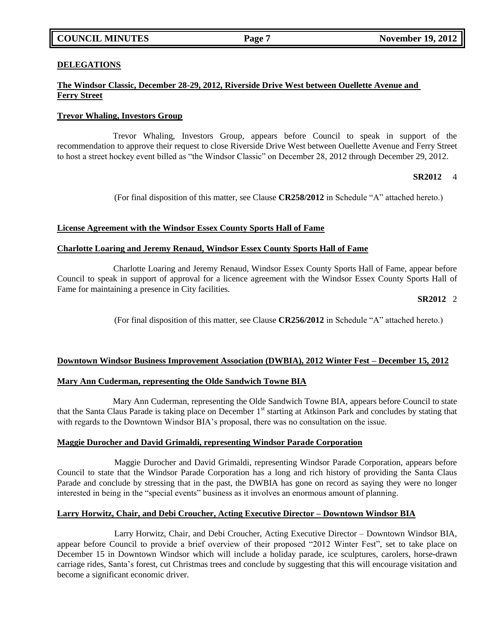### **DELEGATIONS**

# **The Windsor Classic, December 28-29, 2012, Riverside Drive West between Ouellette Avenue and Ferry Street**

## **Trevor Whaling, Investors Group**

Trevor Whaling, Investors Group, appears before Council to speak in support of the recommendation to approve their request to close Riverside Drive West between Ouellette Avenue and Ferry Street to host a street hockey event billed as "the Windsor Classic" on December 28, 2012 through December 29, 2012.

## **SR2012** 4

(For final disposition of this matter, see Clause **CR258/2012** in Schedule "A" attached hereto.)

### **License Agreement with the Windsor Essex County Sports Hall of Fame**

### **Charlotte Loaring and Jeremy Renaud, Windsor Essex County Sports Hall of Fame**

Charlotte Loaring and Jeremy Renaud, Windsor Essex County Sports Hall of Fame, appear before Council to speak in support of approval for a licence agreement with the Windsor Essex County Sports Hall of Fame for maintaining a presence in City facilities.

### **SR2012** 2

(For final disposition of this matter, see Clause **CR256/2012** in Schedule "A" attached hereto.)

#### **Downtown Windsor Business Improvement Association (DWBIA), 2012 Winter Fest – December 15, 2012**

#### **Mary Ann Cuderman, representing the Olde Sandwich Towne BIA**

Mary Ann Cuderman, representing the Olde Sandwich Towne BIA, appears before Council to state that the Santa Claus Parade is taking place on December  $1<sup>st</sup>$  starting at Atkinson Park and concludes by stating that with regards to the Downtown Windsor BIA's proposal, there was no consultation on the issue.

#### **Maggie Durocher and David Grimaldi, representing Windsor Parade Corporation**

Maggie Durocher and David Grimaldi, representing Windsor Parade Corporation, appears before Council to state that the Windsor Parade Corporation has a long and rich history of providing the Santa Claus Parade and conclude by stressing that in the past, the DWBIA has gone on record as saying they were no longer interested in being in the "special events" business as it involves an enormous amount of planning.

#### **Larry Horwitz, Chair, and Debi Croucher, Acting Executive Director – Downtown Windsor BIA**

Larry Horwitz, Chair, and Debi Croucher, Acting Executive Director – Downtown Windsor BIA, appear before Council to provide a brief overview of their proposed "2012 Winter Fest", set to take place on December 15 in Downtown Windsor which will include a holiday parade, ice sculptures, carolers, horse-drawn carriage rides, Santa's forest, cut Christmas trees and conclude by suggesting that this will encourage visitation and become a significant economic driver.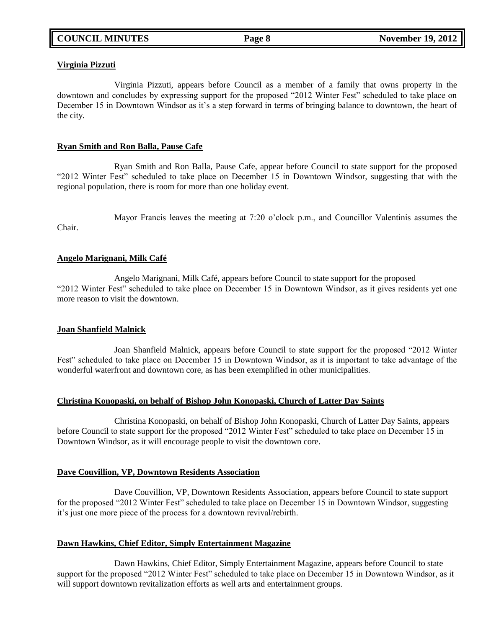### **Virginia Pizzuti**

Virginia Pizzuti, appears before Council as a member of a family that owns property in the downtown and concludes by expressing support for the proposed "2012 Winter Fest" scheduled to take place on December 15 in Downtown Windsor as it's a step forward in terms of bringing balance to downtown, the heart of the city.

## **Ryan Smith and Ron Balla, Pause Cafe**

Ryan Smith and Ron Balla, Pause Cafe, appear before Council to state support for the proposed "2012 Winter Fest" scheduled to take place on December 15 in Downtown Windsor, suggesting that with the regional population, there is room for more than one holiday event.

Mayor Francis leaves the meeting at 7:20 o'clock p.m., and Councillor Valentinis assumes the Chair.

### **Angelo Marignani, Milk Café**

Angelo Marignani, Milk Café, appears before Council to state support for the proposed "2012 Winter Fest" scheduled to take place on December 15 in Downtown Windsor, as it gives residents yet one more reason to visit the downtown.

#### **Joan Shanfield Malnick**

Joan Shanfield Malnick, appears before Council to state support for the proposed "2012 Winter Fest" scheduled to take place on December 15 in Downtown Windsor, as it is important to take advantage of the wonderful waterfront and downtown core, as has been exemplified in other municipalities.

## **Christina Konopaski, on behalf of Bishop John Konopaski, Church of Latter Day Saints**

Christina Konopaski, on behalf of Bishop John Konopaski, Church of Latter Day Saints, appears before Council to state support for the proposed "2012 Winter Fest" scheduled to take place on December 15 in Downtown Windsor, as it will encourage people to visit the downtown core.

#### **Dave Couvillion, VP, Downtown Residents Association**

Dave Couvillion, VP, Downtown Residents Association, appears before Council to state support for the proposed "2012 Winter Fest" scheduled to take place on December 15 in Downtown Windsor, suggesting it's just one more piece of the process for a downtown revival/rebirth.

#### **Dawn Hawkins, Chief Editor, Simply Entertainment Magazine**

Dawn Hawkins, Chief Editor, Simply Entertainment Magazine, appears before Council to state support for the proposed "2012 Winter Fest" scheduled to take place on December 15 in Downtown Windsor, as it will support downtown revitalization efforts as well arts and entertainment groups.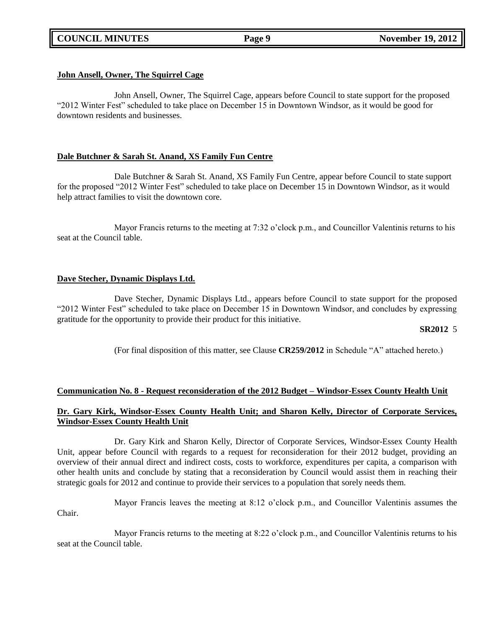#### **John Ansell, Owner, The Squirrel Cage**

John Ansell, Owner, The Squirrel Cage, appears before Council to state support for the proposed "2012 Winter Fest" scheduled to take place on December 15 in Downtown Windsor, as it would be good for downtown residents and businesses.

#### **Dale Butchner & Sarah St. Anand, XS Family Fun Centre**

Dale Butchner & Sarah St. Anand, XS Family Fun Centre, appear before Council to state support for the proposed "2012 Winter Fest" scheduled to take place on December 15 in Downtown Windsor, as it would help attract families to visit the downtown core.

Mayor Francis returns to the meeting at 7:32 o'clock p.m., and Councillor Valentinis returns to his seat at the Council table.

### **Dave Stecher, Dynamic Displays Ltd.**

Dave Stecher, Dynamic Displays Ltd., appears before Council to state support for the proposed "2012 Winter Fest" scheduled to take place on December 15 in Downtown Windsor, and concludes by expressing gratitude for the opportunity to provide their product for this initiative.

#### **SR2012** 5

(For final disposition of this matter, see Clause **CR259/2012** in Schedule "A" attached hereto.)

## **Communication No. 8 - Request reconsideration of the 2012 Budget – Windsor-Essex County Health Unit**

## **Dr. Gary Kirk, Windsor-Essex County Health Unit; and Sharon Kelly, Director of Corporate Services, Windsor-Essex County Health Unit**

Dr. Gary Kirk and Sharon Kelly, Director of Corporate Services, Windsor-Essex County Health Unit, appear before Council with regards to a request for reconsideration for their 2012 budget, providing an overview of their annual direct and indirect costs, costs to workforce, expenditures per capita, a comparison with other health units and conclude by stating that a reconsideration by Council would assist them in reaching their strategic goals for 2012 and continue to provide their services to a population that sorely needs them.

Mayor Francis leaves the meeting at 8:12 o'clock p.m., and Councillor Valentinis assumes the Chair.

Mayor Francis returns to the meeting at 8:22 o'clock p.m., and Councillor Valentinis returns to his seat at the Council table.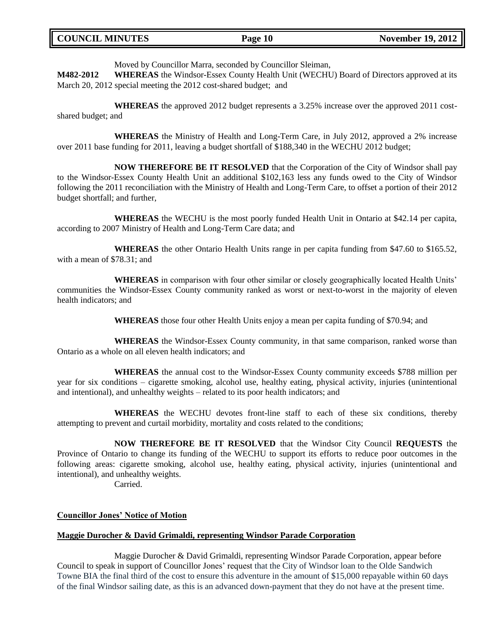| <b>COUNCIL MINUTES</b> | Page 10 | <b>November 19, 2012</b> |
|------------------------|---------|--------------------------|
|                        |         |                          |

Moved by Councillor Marra, seconded by Councillor Sleiman,

**M482-2012 WHEREAS** the Windsor-Essex County Health Unit (WECHU) Board of Directors approved at its March 20, 2012 special meeting the 2012 cost-shared budget; and

**WHEREAS** the approved 2012 budget represents a 3.25% increase over the approved 2011 costshared budget; and

**WHEREAS** the Ministry of Health and Long-Term Care, in July 2012, approved a 2% increase over 2011 base funding for 2011, leaving a budget shortfall of \$188,340 in the WECHU 2012 budget;

**NOW THEREFORE BE IT RESOLVED** that the Corporation of the City of Windsor shall pay to the Windsor-Essex County Health Unit an additional \$102,163 less any funds owed to the City of Windsor following the 2011 reconciliation with the Ministry of Health and Long-Term Care, to offset a portion of their 2012 budget shortfall; and further,

**WHEREAS** the WECHU is the most poorly funded Health Unit in Ontario at \$42.14 per capita, according to 2007 Ministry of Health and Long-Term Care data; and

**WHEREAS** the other Ontario Health Units range in per capita funding from \$47.60 to \$165.52, with a mean of \$78.31; and

**WHEREAS** in comparison with four other similar or closely geographically located Health Units' communities the Windsor-Essex County community ranked as worst or next-to-worst in the majority of eleven health indicators; and

**WHEREAS** those four other Health Units enjoy a mean per capita funding of \$70.94; and

**WHEREAS** the Windsor-Essex County community, in that same comparison, ranked worse than Ontario as a whole on all eleven health indicators; and

**WHEREAS** the annual cost to the Windsor-Essex County community exceeds \$788 million per year for six conditions – cigarette smoking, alcohol use, healthy eating, physical activity, injuries (unintentional and intentional), and unhealthy weights – related to its poor health indicators; and

**WHEREAS** the WECHU devotes front-line staff to each of these six conditions, thereby attempting to prevent and curtail morbidity, mortality and costs related to the conditions;

**NOW THEREFORE BE IT RESOLVED** that the Windsor City Council **REQUESTS** the Province of Ontario to change its funding of the WECHU to support its efforts to reduce poor outcomes in the following areas: cigarette smoking, alcohol use, healthy eating, physical activity, injuries (unintentional and intentional), and unhealthy weights.

Carried.

#### **Councillor Jones' Notice of Motion**

#### **Maggie Durocher & David Grimaldi, representing Windsor Parade Corporation**

Maggie Durocher & David Grimaldi, representing Windsor Parade Corporation, appear before Council to speak in support of Councillor Jones' request that the City of Windsor loan to the Olde Sandwich Towne BIA the final third of the cost to ensure this adventure in the amount of \$15,000 repayable within 60 days of the final Windsor sailing date, as this is an advanced down-payment that they do not have at the present time.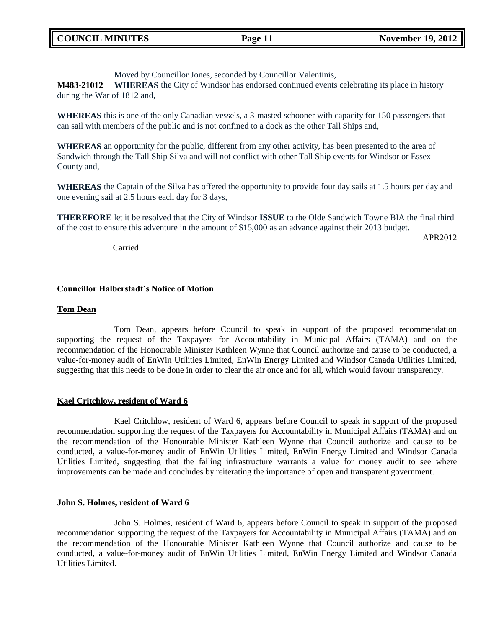Moved by Councillor Jones, seconded by Councillor Valentinis,

**M483-21012 WHEREAS** the City of Windsor has endorsed continued events celebrating its place in history during the War of 1812 and,

**WHEREAS** this is one of the only Canadian vessels, a 3-masted schooner with capacity for 150 passengers that can sail with members of the public and is not confined to a dock as the other Tall Ships and,

**WHEREAS** an opportunity for the public, different from any other activity, has been presented to the area of Sandwich through the Tall Ship Silva and will not conflict with other Tall Ship events for Windsor or Essex County and,

**WHEREAS** the Captain of the Silva has offered the opportunity to provide four day sails at 1.5 hours per day and one evening sail at 2.5 hours each day for 3 days,

**THEREFORE** let it be resolved that the City of Windsor **ISSUE** to the Olde Sandwich Towne BIA the final third of the cost to ensure this adventure in the amount of \$15,000 as an advance against their 2013 budget.

Carried.

APR2012

## **Councillor Halberstadt's Notice of Motion**

### **Tom Dean**

Tom Dean, appears before Council to speak in support of the proposed recommendation supporting the request of the Taxpayers for Accountability in Municipal Affairs (TAMA) and on the recommendation of the Honourable Minister Kathleen Wynne that Council authorize and cause to be conducted, a value-for-money audit of EnWin Utilities Limited, EnWin Energy Limited and Windsor Canada Utilities Limited, suggesting that this needs to be done in order to clear the air once and for all, which would favour transparency.

## **Kael Critchlow, resident of Ward 6**

Kael Critchlow, resident of Ward 6, appears before Council to speak in support of the proposed recommendation supporting the request of the Taxpayers for Accountability in Municipal Affairs (TAMA) and on the recommendation of the Honourable Minister Kathleen Wynne that Council authorize and cause to be conducted, a value-for-money audit of EnWin Utilities Limited, EnWin Energy Limited and Windsor Canada Utilities Limited, suggesting that the failing infrastructure warrants a value for money audit to see where improvements can be made and concludes by reiterating the importance of open and transparent government.

#### **John S. Holmes, resident of Ward 6**

John S. Holmes, resident of Ward 6, appears before Council to speak in support of the proposed recommendation supporting the request of the Taxpayers for Accountability in Municipal Affairs (TAMA) and on the recommendation of the Honourable Minister Kathleen Wynne that Council authorize and cause to be conducted, a value-for-money audit of EnWin Utilities Limited, EnWin Energy Limited and Windsor Canada Utilities Limited.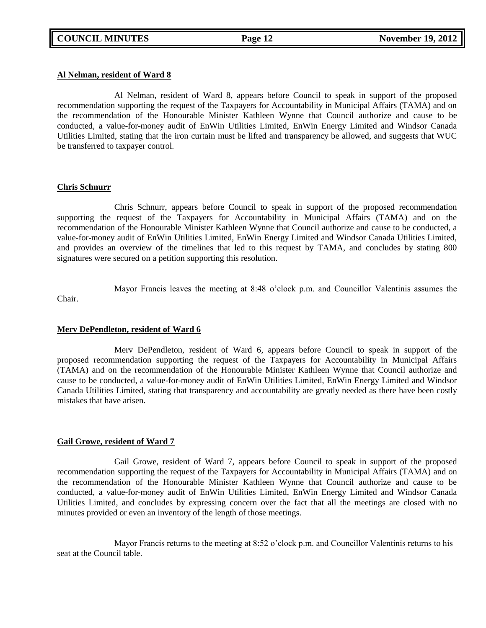#### **Al Nelman, resident of Ward 8**

Al Nelman, resident of Ward 8, appears before Council to speak in support of the proposed recommendation supporting the request of the Taxpayers for Accountability in Municipal Affairs (TAMA) and on the recommendation of the Honourable Minister Kathleen Wynne that Council authorize and cause to be conducted, a value-for-money audit of EnWin Utilities Limited, EnWin Energy Limited and Windsor Canada Utilities Limited, stating that the iron curtain must be lifted and transparency be allowed, and suggests that WUC be transferred to taxpayer control.

#### **Chris Schnurr**

Chris Schnurr, appears before Council to speak in support of the proposed recommendation supporting the request of the Taxpayers for Accountability in Municipal Affairs (TAMA) and on the recommendation of the Honourable Minister Kathleen Wynne that Council authorize and cause to be conducted, a value-for-money audit of EnWin Utilities Limited, EnWin Energy Limited and Windsor Canada Utilities Limited, and provides an overview of the timelines that led to this request by TAMA, and concludes by stating 800 signatures were secured on a petition supporting this resolution.

Mayor Francis leaves the meeting at 8:48 o'clock p.m. and Councillor Valentinis assumes the Chair.

#### **Merv DePendleton, resident of Ward 6**

Merv DePendleton, resident of Ward 6, appears before Council to speak in support of the proposed recommendation supporting the request of the Taxpayers for Accountability in Municipal Affairs (TAMA) and on the recommendation of the Honourable Minister Kathleen Wynne that Council authorize and cause to be conducted, a value-for-money audit of EnWin Utilities Limited, EnWin Energy Limited and Windsor Canada Utilities Limited, stating that transparency and accountability are greatly needed as there have been costly mistakes that have arisen.

#### **Gail Growe, resident of Ward 7**

Gail Growe, resident of Ward 7, appears before Council to speak in support of the proposed recommendation supporting the request of the Taxpayers for Accountability in Municipal Affairs (TAMA) and on the recommendation of the Honourable Minister Kathleen Wynne that Council authorize and cause to be conducted, a value-for-money audit of EnWin Utilities Limited, EnWin Energy Limited and Windsor Canada Utilities Limited, and concludes by expressing concern over the fact that all the meetings are closed with no minutes provided or even an inventory of the length of those meetings.

Mayor Francis returns to the meeting at 8:52 o'clock p.m. and Councillor Valentinis returns to his seat at the Council table.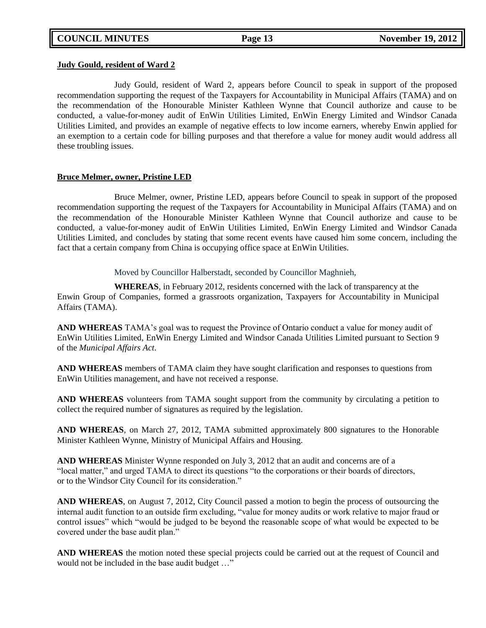#### **Judy Gould, resident of Ward 2**

Judy Gould, resident of Ward 2, appears before Council to speak in support of the proposed recommendation supporting the request of the Taxpayers for Accountability in Municipal Affairs (TAMA) and on the recommendation of the Honourable Minister Kathleen Wynne that Council authorize and cause to be conducted, a value-for-money audit of EnWin Utilities Limited, EnWin Energy Limited and Windsor Canada Utilities Limited, and provides an example of negative effects to low income earners, whereby Enwin applied for an exemption to a certain code for billing purposes and that therefore a value for money audit would address all these troubling issues.

#### **Bruce Melmer, owner, Pristine LED**

Bruce Melmer, owner, Pristine LED, appears before Council to speak in support of the proposed recommendation supporting the request of the Taxpayers for Accountability in Municipal Affairs (TAMA) and on the recommendation of the Honourable Minister Kathleen Wynne that Council authorize and cause to be conducted, a value-for-money audit of EnWin Utilities Limited, EnWin Energy Limited and Windsor Canada Utilities Limited, and concludes by stating that some recent events have caused him some concern, including the fact that a certain company from China is occupying office space at EnWin Utilities.

Moved by Councillor Halberstadt, seconded by Councillor Maghnieh,

**WHEREAS**, in February 2012, residents concerned with the lack of transparency at the Enwin Group of Companies, formed a grassroots organization, Taxpayers for Accountability in Municipal Affairs (TAMA).

**AND WHEREAS** TAMA's goal was to request the Province of Ontario conduct a value for money audit of EnWin Utilities Limited, EnWin Energy Limited and Windsor Canada Utilities Limited pursuant to Section 9 of the *Municipal Affairs Act*.

**AND WHEREAS** members of TAMA claim they have sought clarification and responses to questions from EnWin Utilities management, and have not received a response.

**AND WHEREAS** volunteers from TAMA sought support from the community by circulating a petition to collect the required number of signatures as required by the legislation.

**AND WHEREAS**, on March 27, 2012, TAMA submitted approximately 800 signatures to the Honorable Minister Kathleen Wynne, Ministry of Municipal Affairs and Housing.

**AND WHEREAS** Minister Wynne responded on July 3, 2012 that an audit and concerns are of a "local matter," and urged TAMA to direct its questions "to the corporations or their boards of directors, or to the Windsor City Council for its consideration."

**AND WHEREAS**, on August 7, 2012, City Council passed a motion to begin the process of outsourcing the internal audit function to an outside firm excluding, "value for money audits or work relative to major fraud or control issues" which "would be judged to be beyond the reasonable scope of what would be expected to be covered under the base audit plan."

**AND WHEREAS** the motion noted these special projects could be carried out at the request of Council and would not be included in the base audit budget …"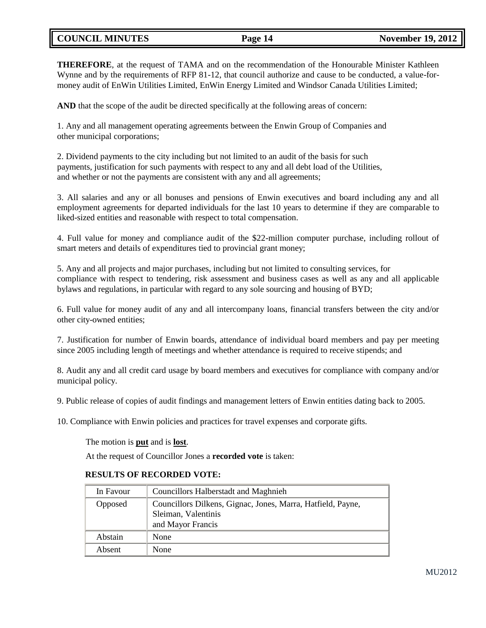# **COUNCIL MINUTES Page 14 November 19, 2012**

**THEREFORE**, at the request of TAMA and on the recommendation of the Honourable Minister Kathleen Wynne and by the requirements of RFP 81-12, that council authorize and cause to be conducted, a value-formoney audit of EnWin Utilities Limited, EnWin Energy Limited and Windsor Canada Utilities Limited;

**AND** that the scope of the audit be directed specifically at the following areas of concern:

1. Any and all management operating agreements between the Enwin Group of Companies and other municipal corporations;

2. Dividend payments to the city including but not limited to an audit of the basis for such payments, justification for such payments with respect to any and all debt load of the Utilities, and whether or not the payments are consistent with any and all agreements;

3. All salaries and any or all bonuses and pensions of Enwin executives and board including any and all employment agreements for departed individuals for the last 10 years to determine if they are comparable to liked-sized entities and reasonable with respect to total compensation.

4. Full value for money and compliance audit of the \$22-million computer purchase, including rollout of smart meters and details of expenditures tied to provincial grant money;

5. Any and all projects and major purchases, including but not limited to consulting services, for compliance with respect to tendering, risk assessment and business cases as well as any and all applicable bylaws and regulations, in particular with regard to any sole sourcing and housing of BYD;

6. Full value for money audit of any and all intercompany loans, financial transfers between the city and/or other city-owned entities;

7. Justification for number of Enwin boards, attendance of individual board members and pay per meeting since 2005 including length of meetings and whether attendance is required to receive stipends; and

8. Audit any and all credit card usage by board members and executives for compliance with company and/or municipal policy.

9. Public release of copies of audit findings and management letters of Enwin entities dating back to 2005.

10. Compliance with Enwin policies and practices for travel expenses and corporate gifts.

The motion is **put** and is **lost**.

At the request of Councillor Jones a **recorded vote** is taken:

## **RESULTS OF RECORDED VOTE:**

| In Favour | Councillors Halberstadt and Maghnieh                                                                    |
|-----------|---------------------------------------------------------------------------------------------------------|
| Opposed   | Councillors Dilkens, Gignac, Jones, Marra, Hatfield, Payne,<br>Sleiman, Valentinis<br>and Mayor Francis |
| Abstain   | None                                                                                                    |
| Absent    | None                                                                                                    |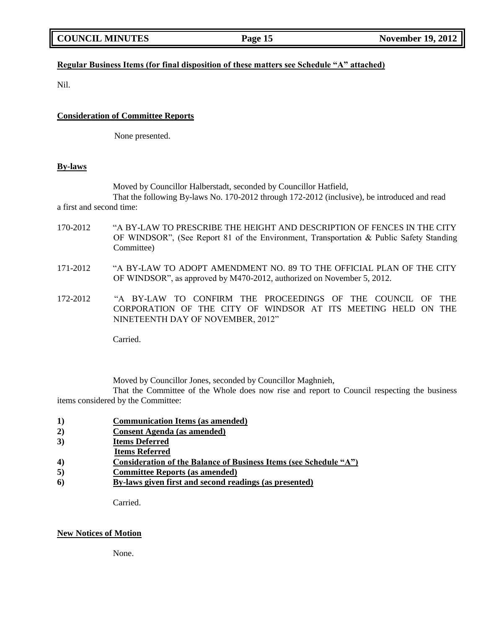# **Regular Business Items (for final disposition of these matters see Schedule "A" attached)**

Nil.

### **Consideration of Committee Reports**

None presented.

#### **By-laws**

Moved by Councillor Halberstadt, seconded by Councillor Hatfield,

That the following By-laws No. 170-2012 through 172-2012 (inclusive), be introduced and read a first and second time:

- 170-2012 "A BY-LAW TO PRESCRIBE THE HEIGHT AND DESCRIPTION OF FENCES IN THE CITY OF WINDSOR", (See Report 81 of the Environment, Transportation & Public Safety Standing Committee)
- 171-2012 "A BY-LAW TO ADOPT AMENDMENT NO. 89 TO THE OFFICIAL PLAN OF THE CITY OF WINDSOR", as approved by M470-2012, authorized on November 5, 2012.
- 172-2012 "A BY-LAW TO CONFIRM THE PROCEEDINGS OF THE COUNCIL OF THE CORPORATION OF THE CITY OF WINDSOR AT ITS MEETING HELD ON THE NINETEENTH DAY OF NOVEMBER, 2012"

Carried.

Moved by Councillor Jones, seconded by Councillor Maghnieh,

That the Committee of the Whole does now rise and report to Council respecting the business items considered by the Committee:

- **1) Communication Items (as amended)**
- **2) Consent Agenda (as amended)**
- **3) Items Deferred**
- **Items Referred**
- **4) Consideration of the Balance of Business Items (see Schedule "A")**
- **5) Committee Reports (as amended)**
- **6) By-laws given first and second readings (as presented)**

Carried.

### **New Notices of Motion**

None.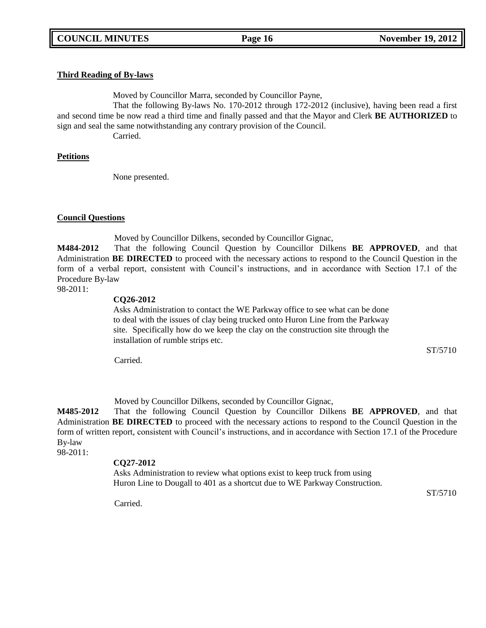### **Third Reading of By-laws**

Moved by Councillor Marra, seconded by Councillor Payne,

That the following By-laws No. 170-2012 through 172-2012 (inclusive), having been read a first and second time be now read a third time and finally passed and that the Mayor and Clerk **BE AUTHORIZED** to sign and seal the same notwithstanding any contrary provision of the Council.

Carried.

### **Petitions**

None presented.

### **Council Questions**

Moved by Councillor Dilkens, seconded by Councillor Gignac,

**M484-2012** That the following Council Question by Councillor Dilkens **BE APPROVED**, and that Administration **BE DIRECTED** to proceed with the necessary actions to respond to the Council Question in the form of a verbal report, consistent with Council's instructions, and in accordance with Section 17.1 of the Procedure By-law

# 98-2011:

### **CQ26-2012**

Asks Administration to contact the WE Parkway office to see what can be done to deal with the issues of clay being trucked onto Huron Line from the Parkway site. Specifically how do we keep the clay on the construction site through the installation of rumble strips etc.

ST/5710

Carried.

Moved by Councillor Dilkens, seconded by Councillor Gignac,

**M485-2012** That the following Council Question by Councillor Dilkens **BE APPROVED**, and that Administration **BE DIRECTED** to proceed with the necessary actions to respond to the Council Question in the form of written report, consistent with Council's instructions, and in accordance with Section 17.1 of the Procedure By-law

98-2011:

## **CQ27-2012**

Asks Administration to review what options exist to keep truck from using Huron Line to Dougall to 401 as a shortcut due to WE Parkway Construction.

Carried.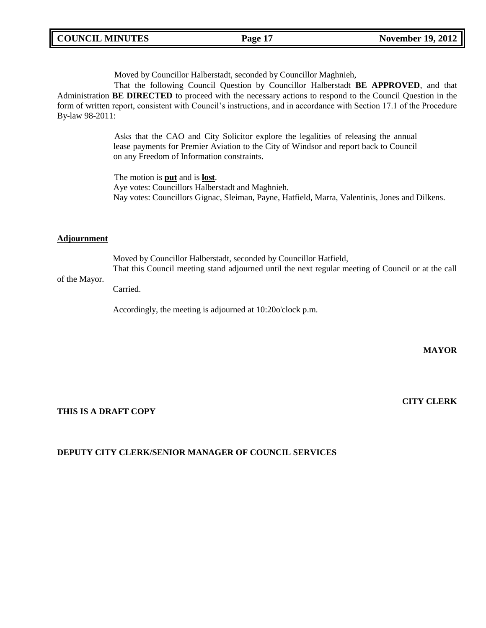Moved by Councillor Halberstadt, seconded by Councillor Maghnieh,

That the following Council Question by Councillor Halberstadt **BE APPROVED**, and that Administration **BE DIRECTED** to proceed with the necessary actions to respond to the Council Question in the form of written report, consistent with Council's instructions, and in accordance with Section 17.1 of the Procedure By-law 98-2011:

> Asks that the CAO and City Solicitor explore the legalities of releasing the annual lease payments for Premier Aviation to the City of Windsor and report back to Council on any Freedom of Information constraints.

The motion is **put** and is **lost**. Aye votes: Councillors Halberstadt and Maghnieh. Nay votes: Councillors Gignac, Sleiman, Payne, Hatfield, Marra, Valentinis, Jones and Dilkens.

### **Adjournment**

Moved by Councillor Halberstadt, seconded by Councillor Hatfield, That this Council meeting stand adjourned until the next regular meeting of Council or at the call

#### of the Mayor.

Carried.

Accordingly, the meeting is adjourned at 10:20o'clock p.m.

**MAYOR**

# **THIS IS A DRAFT COPY**

# **CITY CLERK**

## **DEPUTY CITY CLERK/SENIOR MANAGER OF COUNCIL SERVICES**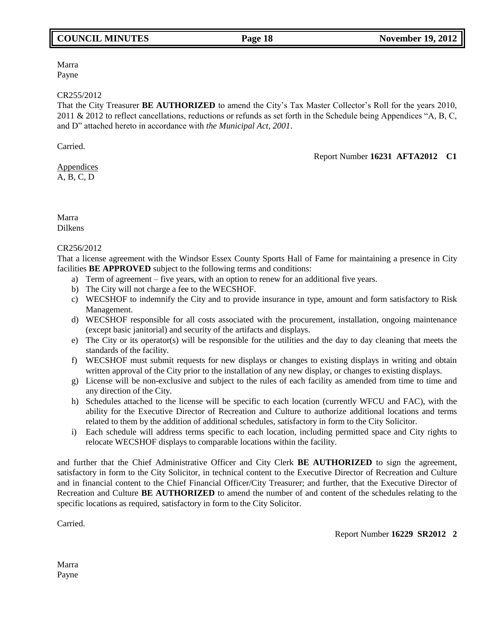# **COUNCIL MINUTES Page 18 November 19, 2012**

Report Number **16231 AFTA2012 C1**

Marra Payne

#### CR255/2012

That the City Treasurer **BE AUTHORIZED** to amend the City's Tax Master Collector's Roll for the years 2010, 2011 & 2012 to reflect cancellations, reductions or refunds as set forth in the Schedule being Appendices "A, B, C, and D" attached hereto in accordance with *the Municipal Act, 2001*.

Carried.

Appendices A, B, C, D

Marra Dilkens

### CR256/2012

That a license agreement with the Windsor Essex County Sports Hall of Fame for maintaining a presence in City facilities **BE APPROVED** subject to the following terms and conditions:

- a) Term of agreement five years, with an option to renew for an additional five years.
- b) The City will not charge a fee to the WECSHOF.
- c) WECSHOF to indemnify the City and to provide insurance in type, amount and form satisfactory to Risk Management.
- d) WECSHOF responsible for all costs associated with the procurement, installation, ongoing maintenance (except basic janitorial) and security of the artifacts and displays.
- e) The City or its operator(s) will be responsible for the utilities and the day to day cleaning that meets the standards of the facility.
- f) WECSHOF must submit requests for new displays or changes to existing displays in writing and obtain written approval of the City prior to the installation of any new display, or changes to existing displays.
- g) License will be non-exclusive and subject to the rules of each facility as amended from time to time and any direction of the City.
- h) Schedules attached to the license will be specific to each location (currently WFCU and FAC), with the ability for the Executive Director of Recreation and Culture to authorize additional locations and terms related to them by the addition of additional schedules, satisfactory in form to the City Solicitor.
- i) Each schedule will address terms specific to each location, including permitted space and City rights to relocate WECSHOF displays to comparable locations within the facility.

and further that the Chief Administrative Officer and City Clerk **BE AUTHORIZED** to sign the agreement, satisfactory in form to the City Solicitor, in technical content to the Executive Director of Recreation and Culture and in financial content to the Chief Financial Officer/City Treasurer; and further, that the Executive Director of Recreation and Culture **BE AUTHORIZED** to amend the number of and content of the schedules relating to the specific locations as required, satisfactory in form to the City Solicitor.

Carried.

Report Number **16229 SR2012 2**

Marra Payne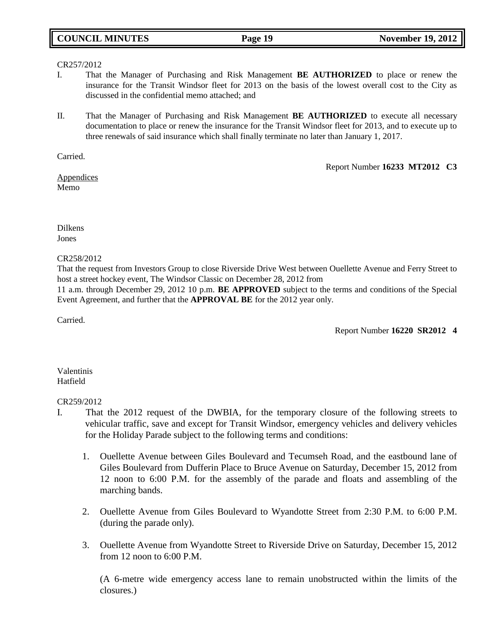# **COUNCIL MINUTES Page 19 November 19, 2012**

#### CR257/2012

- I. That the Manager of Purchasing and Risk Management **BE AUTHORIZED** to place or renew the insurance for the Transit Windsor fleet for 2013 on the basis of the lowest overall cost to the City as discussed in the confidential memo attached; and
- II. That the Manager of Purchasing and Risk Management **BE AUTHORIZED** to execute all necessary documentation to place or renew the insurance for the Transit Windsor fleet for 2013, and to execute up to three renewals of said insurance which shall finally terminate no later than January 1, 2017.

Carried.

Report Number **16233 MT2012 C3**

Appendices Memo

Dilkens Jones

CR258/2012

That the request from Investors Group to close Riverside Drive West between Ouellette Avenue and Ferry Street to host a street hockey event, The Windsor Classic on December 28, 2012 from

11 a.m. through December 29, 2012 10 p.m. **BE APPROVED** subject to the terms and conditions of the Special Event Agreement, and further that the **APPROVAL BE** for the 2012 year only.

Carried.

Report Number **16220 SR2012 4**

Valentinis Hatfield

### CR259/2012

- I. That the 2012 request of the DWBIA, for the temporary closure of the following streets to vehicular traffic, save and except for Transit Windsor, emergency vehicles and delivery vehicles for the Holiday Parade subject to the following terms and conditions:
	- 1. Ouellette Avenue between Giles Boulevard and Tecumseh Road, and the eastbound lane of Giles Boulevard from Dufferin Place to Bruce Avenue on Saturday, December 15, 2012 from 12 noon to 6:00 P.M. for the assembly of the parade and floats and assembling of the marching bands.
	- 2. Ouellette Avenue from Giles Boulevard to Wyandotte Street from 2:30 P.M. to 6:00 P.M. (during the parade only).
	- 3. Ouellette Avenue from Wyandotte Street to Riverside Drive on Saturday, December 15, 2012 from 12 noon to 6:00 P.M.

(A 6-metre wide emergency access lane to remain unobstructed within the limits of the closures.)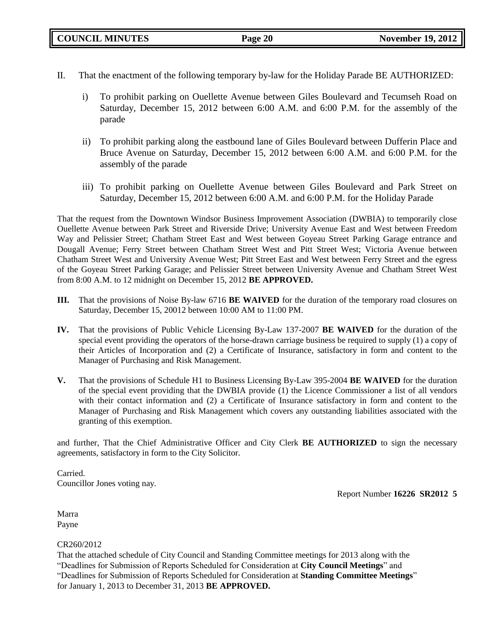- II. That the enactment of the following temporary by-law for the Holiday Parade BE AUTHORIZED:
	- i) To prohibit parking on Ouellette Avenue between Giles Boulevard and Tecumseh Road on Saturday, December 15, 2012 between 6:00 A.M. and 6:00 P.M. for the assembly of the parade
	- ii) To prohibit parking along the eastbound lane of Giles Boulevard between Dufferin Place and Bruce Avenue on Saturday, December 15, 2012 between 6:00 A.M. and 6:00 P.M. for the assembly of the parade
	- iii) To prohibit parking on Ouellette Avenue between Giles Boulevard and Park Street on Saturday, December 15, 2012 between 6:00 A.M. and 6:00 P.M. for the Holiday Parade

That the request from the Downtown Windsor Business Improvement Association (DWBIA) to temporarily close Ouellette Avenue between Park Street and Riverside Drive; University Avenue East and West between Freedom Way and Pelissier Street; Chatham Street East and West between Goyeau Street Parking Garage entrance and Dougall Avenue; Ferry Street between Chatham Street West and Pitt Street West; Victoria Avenue between Chatham Street West and University Avenue West; Pitt Street East and West between Ferry Street and the egress of the Goyeau Street Parking Garage; and Pelissier Street between University Avenue and Chatham Street West from 8:00 A.M. to 12 midnight on December 15, 2012 **BE APPROVED.**

- **III.** That the provisions of Noise By-law 6716 **BE WAIVED** for the duration of the temporary road closures on Saturday, December 15, 20012 between 10:00 AM to 11:00 PM.
- **IV.** That the provisions of Public Vehicle Licensing By-Law 137-2007 **BE WAIVED** for the duration of the special event providing the operators of the horse-drawn carriage business be required to supply (1) a copy of their Articles of Incorporation and (2) a Certificate of Insurance, satisfactory in form and content to the Manager of Purchasing and Risk Management.
- **V.** That the provisions of Schedule H1 to Business Licensing By-Law 395-2004 **BE WAIVED** for the duration of the special event providing that the DWBIA provide (1) the Licence Commissioner a list of all vendors with their contact information and (2) a Certificate of Insurance satisfactory in form and content to the Manager of Purchasing and Risk Management which covers any outstanding liabilities associated with the granting of this exemption.

and further, That the Chief Administrative Officer and City Clerk **BE AUTHORIZED** to sign the necessary agreements, satisfactory in form to the City Solicitor.

Carried. Councillor Jones voting nay.

Report Number **16226 SR2012 5**

Marra Payne

## CR260/2012

That the attached schedule of City Council and Standing Committee meetings for 2013 along with the "Deadlines for Submission of Reports Scheduled for Consideration at **City Council Meetings**" and "Deadlines for Submission of Reports Scheduled for Consideration at **Standing Committee Meetings**" for January 1, 2013 to December 31, 2013 **BE APPROVED.**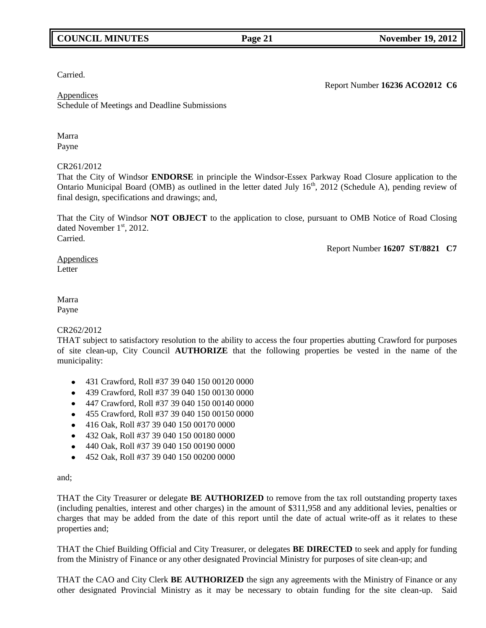# **COUNCIL MINUTES Page 21 November 19, 2012**

Carried.

Report Number **16236 ACO2012 C6**

Appendices Schedule of Meetings and Deadline Submissions

Marra Payne

## CR261/2012

That the City of Windsor **ENDORSE** in principle the Windsor-Essex Parkway Road Closure application to the Ontario Municipal Board (OMB) as outlined in the letter dated July  $16<sup>th</sup>$ , 2012 (Schedule A), pending review of final design, specifications and drawings; and,

That the City of Windsor **NOT OBJECT** to the application to close, pursuant to OMB Notice of Road Closing dated November  $1<sup>st</sup>$ , 2012. Carried.

Report Number **16207 ST/8821 C7**

#### Appendices Letter

### Marra Payne

## CR262/2012

THAT subject to satisfactory resolution to the ability to access the four properties abutting Crawford for purposes of site clean-up, City Council **AUTHORIZE** that the following properties be vested in the name of the municipality:

- 431 Crawford, Roll #37 39 040 150 00120 0000
- 439 Crawford, Roll #37 39 040 150 00130 0000
- 447 Crawford, Roll #37 39 040 150 00140 0000
- 455 Crawford, Roll #37 39 040 150 00150 0000
- 416 Oak, Roll #37 39 040 150 00170 0000
- 432 Oak, Roll #37 39 040 150 00180 0000
- $\bullet$  440 Oak, Roll #37 39 040 150 00190 0000
- 452 Oak, Roll #37 39 040 150 00200 0000

#### and;

THAT the City Treasurer or delegate **BE AUTHORIZED** to remove from the tax roll outstanding property taxes (including penalties, interest and other charges) in the amount of \$311,958 and any additional levies, penalties or charges that may be added from the date of this report until the date of actual write-off as it relates to these properties and;

THAT the Chief Building Official and City Treasurer, or delegates **BE DIRECTED** to seek and apply for funding from the Ministry of Finance or any other designated Provincial Ministry for purposes of site clean-up; and

THAT the CAO and City Clerk **BE AUTHORIZED** the sign any agreements with the Ministry of Finance or any other designated Provincial Ministry as it may be necessary to obtain funding for the site clean-up. Said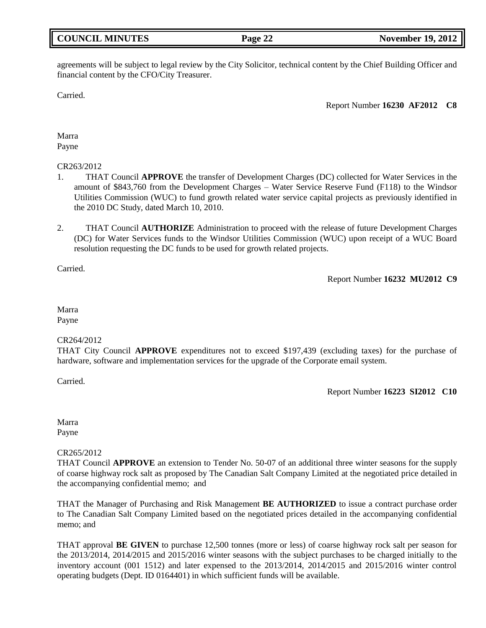# **COUNCIL MINUTES Page 22 November 19, 2012**

agreements will be subject to legal review by the City Solicitor, technical content by the Chief Building Officer and financial content by the CFO/City Treasurer.

Carried.

Report Number **16230 AF2012 C8**

Marra Payne

### CR263/2012

- 1. THAT Council **APPROVE** the transfer of Development Charges (DC) collected for Water Services in the amount of \$843,760 from the Development Charges – Water Service Reserve Fund (F118) to the Windsor Utilities Commission (WUC) to fund growth related water service capital projects as previously identified in the 2010 DC Study, dated March 10, 2010.
- 2. THAT Council **AUTHORIZE** Administration to proceed with the release of future Development Charges (DC) for Water Services funds to the Windsor Utilities Commission (WUC) upon receipt of a WUC Board resolution requesting the DC funds to be used for growth related projects.

Carried.

Report Number **16232 MU2012 C9**

Marra Payne

## CR264/2012

THAT City Council **APPROVE** expenditures not to exceed \$197,439 (excluding taxes) for the purchase of hardware, software and implementation services for the upgrade of the Corporate email system.

Carried.

Report Number **16223 SI2012 C10**

Marra Payne

## CR265/2012

THAT Council **APPROVE** an extension to Tender No. 50-07 of an additional three winter seasons for the supply of coarse highway rock salt as proposed by The Canadian Salt Company Limited at the negotiated price detailed in the accompanying confidential memo; and

THAT the Manager of Purchasing and Risk Management **BE AUTHORIZED** to issue a contract purchase order to The Canadian Salt Company Limited based on the negotiated prices detailed in the accompanying confidential memo; and

THAT approval **BE GIVEN** to purchase 12,500 tonnes (more or less) of coarse highway rock salt per season for the 2013/2014, 2014/2015 and 2015/2016 winter seasons with the subject purchases to be charged initially to the inventory account (001 1512) and later expensed to the 2013/2014, 2014/2015 and 2015/2016 winter control operating budgets (Dept. ID 0164401) in which sufficient funds will be available.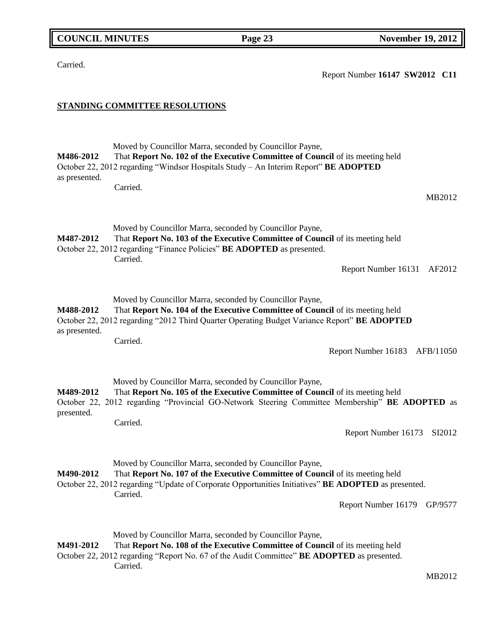MB2012

| M488-2012<br>as presented. | Moved by Councillor Marra, seconded by Councillor Payne,<br>That Report No. 104 of the Executive Committee of Council of its meeting held<br>October 22, 2012 regarding "2012 Third Quarter Operating Budget Variance Report" BE ADOPTED<br>Carried.<br>Report Number 16183 AFB/11050       |
|----------------------------|---------------------------------------------------------------------------------------------------------------------------------------------------------------------------------------------------------------------------------------------------------------------------------------------|
| M489-2012<br>presented.    | Moved by Councillor Marra, seconded by Councillor Payne,<br>That Report No. 105 of the Executive Committee of Council of its meeting held<br>October 22, 2012 regarding "Provincial GO-Network Steering Committee Membership" BE ADOPTED as<br>Carried.<br>Report Number 16173<br>SI2012    |
| M490-2012                  | Moved by Councillor Marra, seconded by Councillor Payne,<br>That Report No. 107 of the Executive Committee of Council of its meeting held<br>October 22, 2012 regarding "Update of Corporate Opportunities Initiatives" BE ADOPTED as presented.<br>Carried.<br>Report Number 16179 GP/9577 |
| M491-2012                  | Moved by Councillor Marra, seconded by Councillor Payne,<br>That Report No. 108 of the Executive Committee of Council of its meeting held<br>October 22, 2012 regarding "Report No. 67 of the Audit Committee" BE ADOPTED as presented.<br>Carried.<br>MDOM2                                |

Moved by Councillor Marra, seconded by Councillor Payne, **M486-2012** That **Report No. 102 of the Executive Committee of Council** of its meeting held October 22, 2012 regarding "Windsor Hospitals Study – An Interim Report" **BE ADOPTED** as presented.

Moved by Councillor Marra, seconded by Councillor Payne, **M487-2012** That **Report No. 103 of the Executive Committee of Council** of its meeting held

October 22, 2012 regarding "Finance Policies" **BE ADOPTED** as presented.

Carried.

Carried.

**STANDING COMMITTEE RESOLUTIONS**

Carried.

Report Number **16147 SW2012 C11**

Report Number 16131 AF2012

MB2012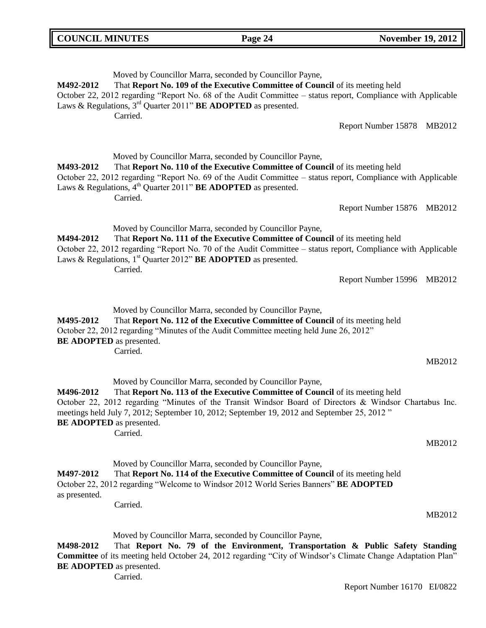| <b>COUNCIL MINUTES</b>                       | Page 24                                                                                                                                                                                                                                                                                                                                                       | <b>November 19, 2012</b>      |
|----------------------------------------------|---------------------------------------------------------------------------------------------------------------------------------------------------------------------------------------------------------------------------------------------------------------------------------------------------------------------------------------------------------------|-------------------------------|
| M492-2012                                    | Moved by Councillor Marra, seconded by Councillor Payne,<br>That Report No. 109 of the Executive Committee of Council of its meeting held<br>October 22, 2012 regarding "Report No. 68 of the Audit Committee – status report, Compliance with Applicable<br>Laws & Regulations, $3rd$ Quarter 2011" <b>BE ADOPTED</b> as presented.<br>Carried.              | Report Number 15878<br>MB2012 |
| M493-2012                                    | Moved by Councillor Marra, seconded by Councillor Payne,<br>That Report No. 110 of the Executive Committee of Council of its meeting held<br>October 22, 2012 regarding "Report No. 69 of the Audit Committee – status report, Compliance with Applicable<br>Laws & Regulations, $4th$ Quarter 2011" <b>BE ADOPTED</b> as presented.<br>Carried.              | Report Number 15876 MB2012    |
| M494-2012                                    | Moved by Councillor Marra, seconded by Councillor Payne,<br>That Report No. 111 of the Executive Committee of Council of its meeting held<br>October 22, 2012 regarding "Report No. 70 of the Audit Committee – status report, Compliance with Applicable<br>Laws & Regulations, 1 <sup>st</sup> Quarter 2012" <b>BE ADOPTED</b> as presented.<br>Carried.    | Report Number 15996<br>MB2012 |
| M495-2012<br><b>BE ADOPTED</b> as presented. | Moved by Councillor Marra, seconded by Councillor Payne,<br>That Report No. 112 of the Executive Committee of Council of its meeting held<br>October 22, 2012 regarding "Minutes of the Audit Committee meeting held June 26, 2012"<br>Carried.                                                                                                               | MB2012                        |
| M496-2012<br><b>BE ADOPTED</b> as presented. | Moved by Councillor Marra, seconded by Councillor Payne,<br>That Report No. 113 of the Executive Committee of Council of its meeting held<br>October 22, 2012 regarding "Minutes of the Transit Windsor Board of Directors & Windsor Chartabus Inc.<br>meetings held July 7, 2012; September 10, 2012; September 19, 2012 and September 25, 2012"<br>Carried. | MB2012                        |
| M497-2012<br>as presented.                   | Moved by Councillor Marra, seconded by Councillor Payne,<br>That Report No. 114 of the Executive Committee of Council of its meeting held<br>October 22, 2012 regarding "Welcome to Windsor 2012 World Series Banners" BE ADOPTED<br>Carried.                                                                                                                 | MB2012                        |
|                                              | Moved by Councillor Marra, seconded by Councillor Payne,                                                                                                                                                                                                                                                                                                      |                               |

**M498-2012** That **Report No. 79 of the Environment, Transportation & Public Safety Standing Committee** of its meeting held October 24, 2012 regarding "City of Windsor's Climate Change Adaptation Plan" **BE ADOPTED** as presented.

Carried.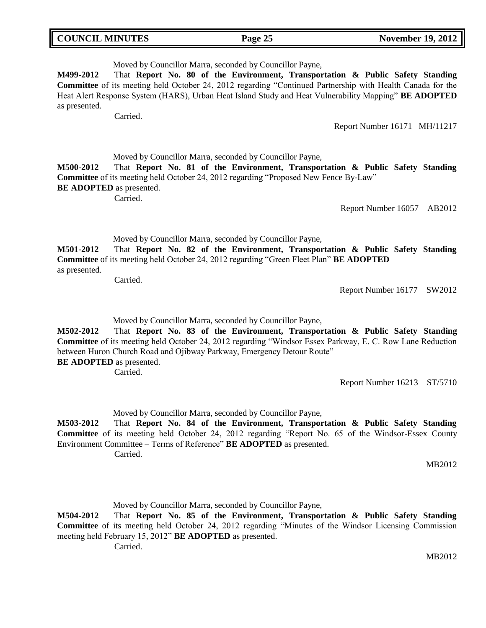|  | <b>COUNCIL MINUTES</b> |
|--|------------------------|
|--|------------------------|

# Moved by Councillor Marra, seconded by Councillor Payne,

**M499-2012** That **Report No. 80 of the Environment, Transportation & Public Safety Standing Committee** of its meeting held October 24, 2012 regarding "Continued Partnership with Health Canada for the Heat Alert Response System (HARS), Urban Heat Island Study and Heat Vulnerability Mapping" **BE ADOPTED** as presented.

Carried.

Report Number 16171 MH/11217

Moved by Councillor Marra, seconded by Councillor Payne,

**M500-2012** That **Report No. 81 of the Environment, Transportation & Public Safety Standing Committee** of its meeting held October 24, 2012 regarding "Proposed New Fence By-Law" **BE ADOPTED** as presented.

Carried.

Report Number 16057 AB2012

Moved by Councillor Marra, seconded by Councillor Payne,

**M501-2012** That **Report No. 82 of the Environment, Transportation & Public Safety Standing Committee** of its meeting held October 24, 2012 regarding "Green Fleet Plan" **BE ADOPTED** as presented.

Carried.

Report Number 16177 SW2012

Moved by Councillor Marra, seconded by Councillor Payne,

**M502-2012** That **Report No. 83 of the Environment, Transportation & Public Safety Standing Committee** of its meeting held October 24, 2012 regarding "Windsor Essex Parkway, E. C. Row Lane Reduction between Huron Church Road and Ojibway Parkway, Emergency Detour Route" **BE ADOPTED** as presented.

Carried.

Report Number 16213 ST/5710

Moved by Councillor Marra, seconded by Councillor Payne,

**M503-2012** That **Report No. 84 of the Environment, Transportation & Public Safety Standing Committee** of its meeting held October 24, 2012 regarding "Report No. 65 of the Windsor-Essex County Environment Committee – Terms of Reference" **BE ADOPTED** as presented. Carried.

MB2012

Moved by Councillor Marra, seconded by Councillor Payne,

**M504-2012** That **Report No. 85 of the Environment, Transportation & Public Safety Standing Committee** of its meeting held October 24, 2012 regarding "Minutes of the Windsor Licensing Commission meeting held February 15, 2012" **BE ADOPTED** as presented.

Carried.

MB2012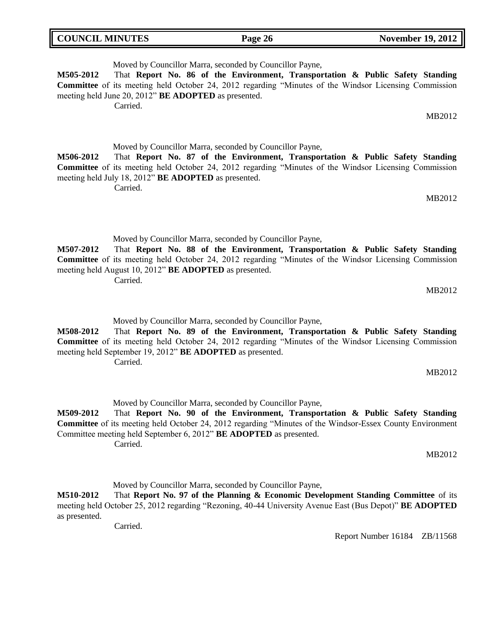| <b>COUNCIL MINUTES</b> | $\sim$<br>20 | 19, 2012<br>November |
|------------------------|--------------|----------------------|
|                        |              |                      |

Moved by Councillor Marra, seconded by Councillor Payne, **M505-2012** That **Report No. 86 of the Environment, Transportation & Public Safety Standing Committee** of its meeting held October 24, 2012 regarding "Minutes of the Windsor Licensing Commission meeting held June 20, 2012" **BE ADOPTED** as presented. Carried. MB2012

Moved by Councillor Marra, seconded by Councillor Payne, **M506-2012** That **Report No. 87 of the Environment, Transportation & Public Safety Standing Committee** of its meeting held October 24, 2012 regarding "Minutes of the Windsor Licensing Commission meeting held July 18, 2012" **BE ADOPTED** as presented. Carried.

MB2012

Moved by Councillor Marra, seconded by Councillor Payne,

**M507-2012** That **Report No. 88 of the Environment, Transportation & Public Safety Standing Committee** of its meeting held October 24, 2012 regarding "Minutes of the Windsor Licensing Commission meeting held August 10, 2012" **BE ADOPTED** as presented. Carried.

MB2012

Moved by Councillor Marra, seconded by Councillor Payne,

**M508-2012** That **Report No. 89 of the Environment, Transportation & Public Safety Standing Committee** of its meeting held October 24, 2012 regarding "Minutes of the Windsor Licensing Commission meeting held September 19, 2012" **BE ADOPTED** as presented. Carried.

MB2012

Moved by Councillor Marra, seconded by Councillor Payne,

**M509-2012** That **Report No. 90 of the Environment, Transportation & Public Safety Standing Committee** of its meeting held October 24, 2012 regarding "Minutes of the Windsor-Essex County Environment Committee meeting held September 6, 2012" **BE ADOPTED** as presented. Carried.

MB2012

Moved by Councillor Marra, seconded by Councillor Payne,

**M510-2012** That **Report No. 97 of the Planning & Economic Development Standing Committee** of its meeting held October 25, 2012 regarding "Rezoning, 40-44 University Avenue East (Bus Depot)" **BE ADOPTED** as presented.

Carried.

Report Number 16184 ZB/11568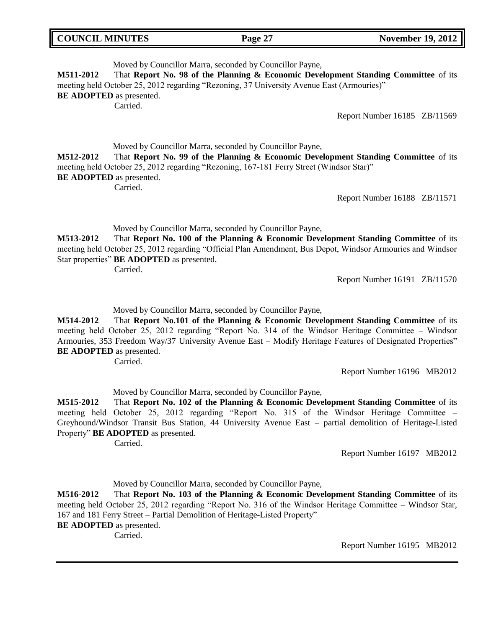| <b>COUNCIL MINUTES</b> |  |
|------------------------|--|
|------------------------|--|

## Moved by Councillor Marra, seconded by Councillor Payne, **M511-2012** That **Report No. 98 of the Planning & Economic Development Standing Committee** of its meeting held October 25, 2012 regarding "Rezoning, 37 University Avenue East (Armouries)" **BE ADOPTED** as presented. Carried.

Report Number 16185 ZB/11569

Moved by Councillor Marra, seconded by Councillor Payne, **M512-2012** That **Report No. 99 of the Planning & Economic Development Standing Committee** of its meeting held October 25, 2012 regarding "Rezoning, 167-181 Ferry Street (Windsor Star)" **BE ADOPTED** as presented. Carried.

Report Number 16188 ZB/11571

Moved by Councillor Marra, seconded by Councillor Payne,

**M513-2012** That **Report No. 100 of the Planning & Economic Development Standing Committee** of its meeting held October 25, 2012 regarding "Official Plan Amendment, Bus Depot, Windsor Armouries and Windsor Star properties" **BE ADOPTED** as presented.

Carried.

Report Number 16191 ZB/11570

Moved by Councillor Marra, seconded by Councillor Payne,

**M514-2012** That **Report No.101 of the Planning & Economic Development Standing Committee** of its meeting held October 25, 2012 regarding "Report No. 314 of the Windsor Heritage Committee – Windsor Armouries, 353 Freedom Way/37 University Avenue East – Modify Heritage Features of Designated Properties" **BE ADOPTED** as presented.

Carried.

Report Number 16196 MB2012

Moved by Councillor Marra, seconded by Councillor Payne,

**M515-2012** That **Report No. 102 of the Planning & Economic Development Standing Committee** of its meeting held October 25, 2012 regarding "Report No. 315 of the Windsor Heritage Committee – Greyhound/Windsor Transit Bus Station, 44 University Avenue East – partial demolition of Heritage-Listed Property" **BE ADOPTED** as presented.

Carried.

Report Number 16197 MB2012

Moved by Councillor Marra, seconded by Councillor Payne,

**M516-2012** That **Report No. 103 of the Planning & Economic Development Standing Committee** of its meeting held October 25, 2012 regarding "Report No. 316 of the Windsor Heritage Committee – Windsor Star, 167 and 181 Ferry Street – Partial Demolition of Heritage-Listed Property"

**BE ADOPTED** as presented.

Carried.

Report Number 16195 MB2012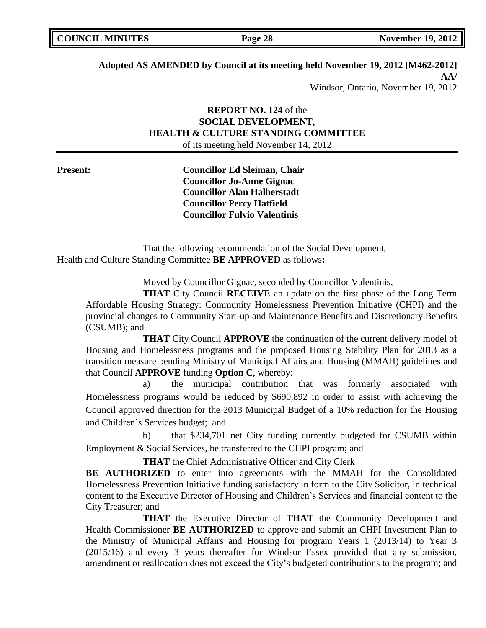| <b>COUNCIL MINUTES</b> | Page 28 | <b>November 19, 2012</b> |
|------------------------|---------|--------------------------|
|                        |         |                          |

# **Adopted AS AMENDED by Council at its meeting held November 19, 2012 [M462-2012] AA/**

Windsor, Ontario, November 19, 2012

# **REPORT NO. 124** of the **SOCIAL DEVELOPMENT, HEALTH & CULTURE STANDING COMMITTEE** of its meeting held November 14, 2012

**Present: Councillor Ed Sleiman, Chair Councillor Jo-Anne Gignac Councillor Alan Halberstadt Councillor Percy Hatfield Councillor Fulvio Valentinis**

That the following recommendation of the Social Development, Health and Culture Standing Committee **BE APPROVED** as follows**:** 

Moved by Councillor Gignac, seconded by Councillor Valentinis,

**THAT** City Council **RECEIVE** an update on the first phase of the Long Term Affordable Housing Strategy: Community Homelessness Prevention Initiative (CHPI) and the provincial changes to Community Start-up and Maintenance Benefits and Discretionary Benefits (CSUMB); and

**THAT** City Council **APPROVE** the continuation of the current delivery model of Housing and Homelessness programs and the proposed Housing Stability Plan for 2013 as a transition measure pending Ministry of Municipal Affairs and Housing (MMAH) guidelines and that Council **APPROVE** funding **Option C**, whereby:

a) the municipal contribution that was formerly associated with Homelessness programs would be reduced by \$690,892 in order to assist with achieving the Council approved direction for the 2013 Municipal Budget of a 10% reduction for the Housing and Children's Services budget; and

b) that \$234,701 net City funding currently budgeted for CSUMB within Employment & Social Services, be transferred to the CHPI program; and

**THAT** the Chief Administrative Officer and City Clerk

BE AUTHORIZED to enter into agreements with the MMAH for the Consolidated Homelessness Prevention Initiative funding satisfactory in form to the City Solicitor, in technical content to the Executive Director of Housing and Children's Services and financial content to the City Treasurer; and

**THAT** the Executive Director of **THAT** the Community Development and Health Commissioner **BE AUTHORIZED** to approve and submit an CHPI Investment Plan to the Ministry of Municipal Affairs and Housing for program Years 1 (2013/14) to Year 3 (2015/16) and every 3 years thereafter for Windsor Essex provided that any submission, amendment or reallocation does not exceed the City's budgeted contributions to the program; and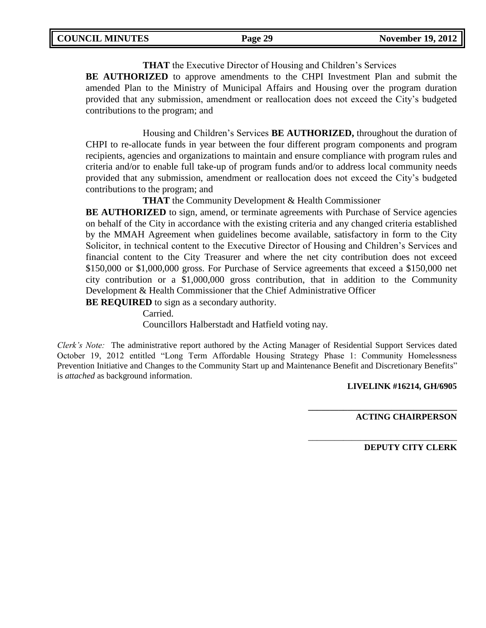**THAT** the Executive Director of Housing and Children's Services **BE AUTHORIZED** to approve amendments to the CHPI Investment Plan and submit the amended Plan to the Ministry of Municipal Affairs and Housing over the program duration provided that any submission, amendment or reallocation does not exceed the City's budgeted contributions to the program; and

Housing and Children's Services **BE AUTHORIZED,** throughout the duration of CHPI to re-allocate funds in year between the four different program components and program recipients, agencies and organizations to maintain and ensure compliance with program rules and criteria and/or to enable full take-up of program funds and/or to address local community needs provided that any submission, amendment or reallocation does not exceed the City's budgeted contributions to the program; and

**THAT** the Community Development & Health Commissioner

**BE AUTHORIZED** to sign, amend, or terminate agreements with Purchase of Service agencies on behalf of the City in accordance with the existing criteria and any changed criteria established by the MMAH Agreement when guidelines become available, satisfactory in form to the City Solicitor, in technical content to the Executive Director of Housing and Children's Services and financial content to the City Treasurer and where the net city contribution does not exceed \$150,000 or \$1,000,000 gross. For Purchase of Service agreements that exceed a \$150,000 net city contribution or a \$1,000,000 gross contribution, that in addition to the Community Development & Health Commissioner that the Chief Administrative Officer

**BE REQUIRED** to sign as a secondary authority.

Carried.

Councillors Halberstadt and Hatfield voting nay.

*Clerk's Note:* The administrative report authored by the Acting Manager of Residential Support Services dated October 19, 2012 entitled "Long Term Affordable Housing Strategy Phase 1: Community Homelessness Prevention Initiative and Changes to the Community Start up and Maintenance Benefit and Discretionary Benefits" is *attached* as background information.

## **LIVELINK #16214, GH/6905**

**\_\_\_\_\_\_\_\_\_\_\_\_\_\_\_\_\_\_\_\_\_\_\_\_\_\_\_\_\_\_\_\_\_\_**

\_\_\_\_\_\_\_\_\_\_\_\_\_\_\_\_\_\_\_\_\_\_\_\_\_\_\_\_\_\_\_\_\_\_

**ACTING CHAIRPERSON**

**DEPUTY CITY CLERK**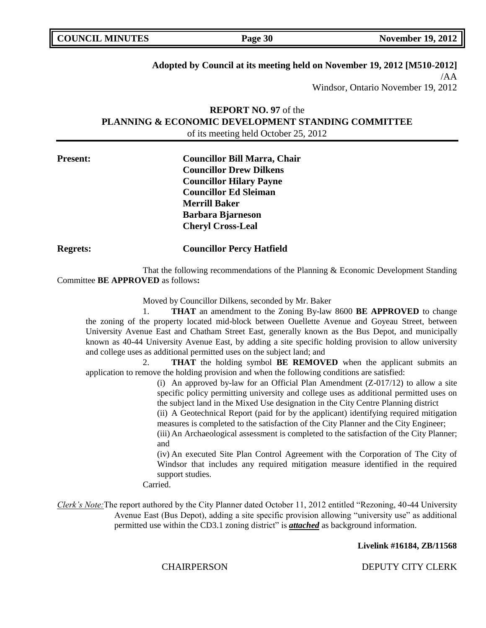| <b>COUNCIL MINUTES</b> | Page 30 | <b>November 19, 2012</b> |
|------------------------|---------|--------------------------|
|                        |         |                          |

# **Adopted by Council at its meeting held on November 19, 2012 [M510-2012]**

/AA Windsor, Ontario November 19, 2012

# **REPORT NO. 97** of the **PLANNING & ECONOMIC DEVELOPMENT STANDING COMMITTEE** of its meeting held October 25, 2012

| <b>Present:</b> | <b>Councillor Bill Marra, Chair</b> |  |  |
|-----------------|-------------------------------------|--|--|
|                 | <b>Councillor Drew Dilkens</b>      |  |  |
|                 | <b>Councillor Hilary Payne</b>      |  |  |
|                 | <b>Councillor Ed Sleiman</b>        |  |  |
|                 | <b>Merrill Baker</b>                |  |  |
|                 | <b>Barbara Bjarneson</b>            |  |  |
|                 | <b>Cheryl Cross-Leal</b>            |  |  |
| <b>Regrets:</b> | <b>Councillor Percy Hatfield</b>    |  |  |

That the following recommendations of the Planning & Economic Development Standing Committee **BE APPROVED** as follows**:** 

Moved by Councillor Dilkens, seconded by Mr. Baker

1. **THAT** an amendment to the Zoning By-law 8600 **BE APPROVED** to change the zoning of the property located mid-block between Ouellette Avenue and Goyeau Street, between University Avenue East and Chatham Street East, generally known as the Bus Depot, and municipally known as 40-44 University Avenue East, by adding a site specific holding provision to allow university and college uses as additional permitted uses on the subject land; and

2. **THAT** the holding symbol **BE REMOVED** when the applicant submits an application to remove the holding provision and when the following conditions are satisfied:

> (i) An approved by-law for an Official Plan Amendment  $(Z-017/12)$  to allow a site specific policy permitting university and college uses as additional permitted uses on the subject land in the Mixed Use designation in the City Centre Planning district

> (ii) A Geotechnical Report (paid for by the applicant) identifying required mitigation measures is completed to the satisfaction of the City Planner and the City Engineer;

> (iii) An Archaeological assessment is completed to the satisfaction of the City Planner; and

> (iv) An executed Site Plan Control Agreement with the Corporation of The City of Windsor that includes any required mitigation measure identified in the required support studies.

Carried.

*Clerk's Note:*The report authored by the City Planner dated October 11, 2012 entitled "Rezoning, 40-44 University Avenue East (Bus Depot), adding a site specific provision allowing "university use" as additional permitted use within the CD3.1 zoning district" is *attached* as background information.

#### **Livelink #16184, ZB/11568**

CHAIRPERSON DEPUTY CITY CLERK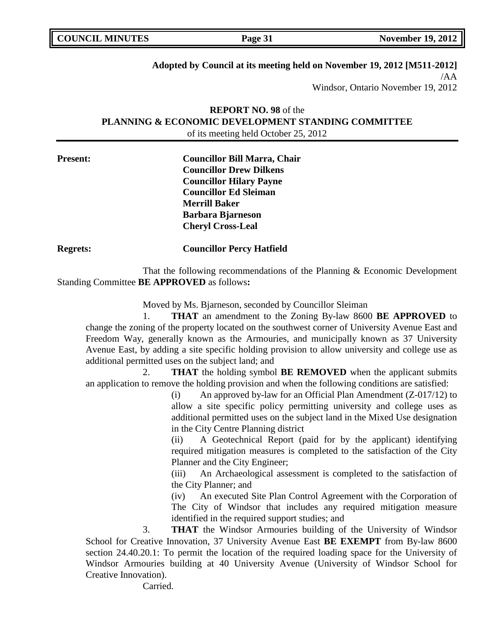| <b>COUNCIL MINUTES</b> | Page 31 | <b>November 19, 2012</b> |
|------------------------|---------|--------------------------|
|                        |         |                          |

# **Adopted by Council at its meeting held on November 19, 2012 [M511-2012]**

/AA Windsor, Ontario November 19, 2012

# **REPORT NO. 98** of the **PLANNING & ECONOMIC DEVELOPMENT STANDING COMMITTEE** of its meeting held October 25, 2012

| <b>Present:</b> | <b>Councillor Bill Marra, Chair</b> |  |
|-----------------|-------------------------------------|--|
|                 | <b>Councillor Drew Dilkens</b>      |  |
|                 | <b>Councillor Hilary Payne</b>      |  |
|                 | <b>Councillor Ed Sleiman</b>        |  |
|                 | <b>Merrill Baker</b>                |  |
|                 | <b>Barbara Bjarneson</b>            |  |
|                 | <b>Cheryl Cross-Leal</b>            |  |
| <b>Regrets:</b> | <b>Councillor Percy Hatfield</b>    |  |

That the following recommendations of the Planning & Economic Development Standing Committee **BE APPROVED** as follows**:** 

Moved by Ms. Bjarneson, seconded by Councillor Sleiman

1. **THAT** an amendment to the Zoning By-law 8600 **BE APPROVED** to change the zoning of the property located on the southwest corner of University Avenue East and Freedom Way, generally known as the Armouries, and municipally known as 37 University Avenue East, by adding a site specific holding provision to allow university and college use as additional permitted uses on the subject land; and

2. **THAT** the holding symbol **BE REMOVED** when the applicant submits an application to remove the holding provision and when the following conditions are satisfied:

> (i) An approved by-law for an Official Plan Amendment (Z-017/12) to allow a site specific policy permitting university and college uses as additional permitted uses on the subject land in the Mixed Use designation in the City Centre Planning district

> (ii) A Geotechnical Report (paid for by the applicant) identifying required mitigation measures is completed to the satisfaction of the City Planner and the City Engineer;

> (iii) An Archaeological assessment is completed to the satisfaction of the City Planner; and

> (iv) An executed Site Plan Control Agreement with the Corporation of The City of Windsor that includes any required mitigation measure identified in the required support studies; and

3. **THAT** the Windsor Armouries building of the University of Windsor School for Creative Innovation, 37 University Avenue East **BE EXEMPT** from By-law 8600 section 24.40.20.1: To permit the location of the required loading space for the University of Windsor Armouries building at 40 University Avenue (University of Windsor School for Creative Innovation).

Carried.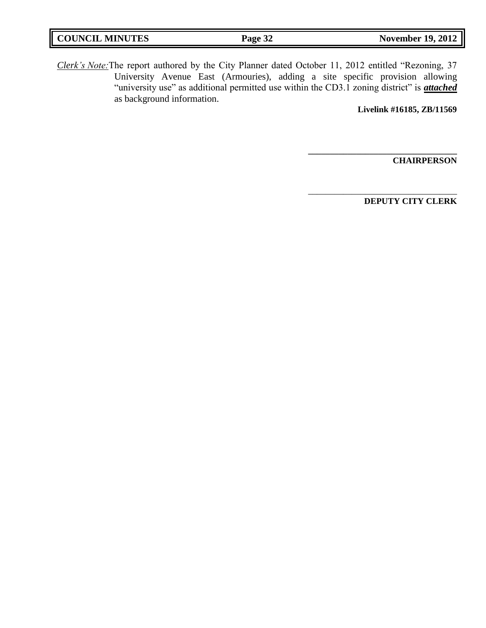| <b>COUNCIL MINUTES</b> | Page 32 | <b>November 19, 2012</b> |
|------------------------|---------|--------------------------|
|                        |         |                          |

*Clerk's Note:*The report authored by the City Planner dated October 11, 2012 entitled "Rezoning, 37 University Avenue East (Armouries), adding a site specific provision allowing "university use" as additional permitted use within the CD3.1 zoning district" is *attached* as background information.

**Livelink #16185, ZB/11569**

**\_\_\_\_\_\_\_\_\_\_\_\_\_\_\_\_\_\_\_\_\_\_\_\_\_\_\_\_\_\_\_\_\_\_**

\_\_\_\_\_\_\_\_\_\_\_\_\_\_\_\_\_\_\_\_\_\_\_\_\_\_\_\_\_\_\_\_\_\_

**CHAIRPERSON**

**DEPUTY CITY CLERK**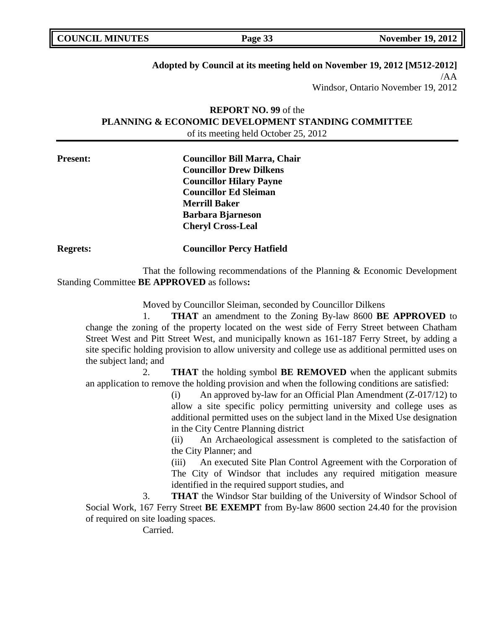| <b>COUNCIL MINUTES</b> |
|------------------------|
|------------------------|

# **Adopted by Council at its meeting held on November 19, 2012 [M512-2012]**

/AA Windsor, Ontario November 19, 2012

# **REPORT NO. 99** of the **PLANNING & ECONOMIC DEVELOPMENT STANDING COMMITTEE** of its meeting held October 25, 2012

| <b>Present:</b> | <b>Councillor Bill Marra, Chair</b> |  |  |
|-----------------|-------------------------------------|--|--|
|                 | <b>Councillor Drew Dilkens</b>      |  |  |
|                 | <b>Councillor Hilary Payne</b>      |  |  |
|                 | <b>Councillor Ed Sleiman</b>        |  |  |
|                 | <b>Merrill Baker</b>                |  |  |
|                 | <b>Barbara Bjarneson</b>            |  |  |
|                 | <b>Cheryl Cross-Leal</b>            |  |  |
| <b>Regrets:</b> | <b>Councillor Percy Hatfield</b>    |  |  |

That the following recommendations of the Planning & Economic Development Standing Committee **BE APPROVED** as follows**:** 

Moved by Councillor Sleiman, seconded by Councillor Dilkens

1. **THAT** an amendment to the Zoning By-law 8600 **BE APPROVED** to change the zoning of the property located on the west side of Ferry Street between Chatham Street West and Pitt Street West, and municipally known as 161-187 Ferry Street, by adding a site specific holding provision to allow university and college use as additional permitted uses on the subject land; and

2. **THAT** the holding symbol **BE REMOVED** when the applicant submits an application to remove the holding provision and when the following conditions are satisfied:

> (i) An approved by-law for an Official Plan Amendment (Z-017/12) to allow a site specific policy permitting university and college uses as additional permitted uses on the subject land in the Mixed Use designation in the City Centre Planning district

> (ii) An Archaeological assessment is completed to the satisfaction of the City Planner; and

> (iii) An executed Site Plan Control Agreement with the Corporation of The City of Windsor that includes any required mitigation measure identified in the required support studies, and

3. **THAT** the Windsor Star building of the University of Windsor School of Social Work, 167 Ferry Street **BE EXEMPT** from By-law 8600 section 24.40 for the provision of required on site loading spaces.

Carried.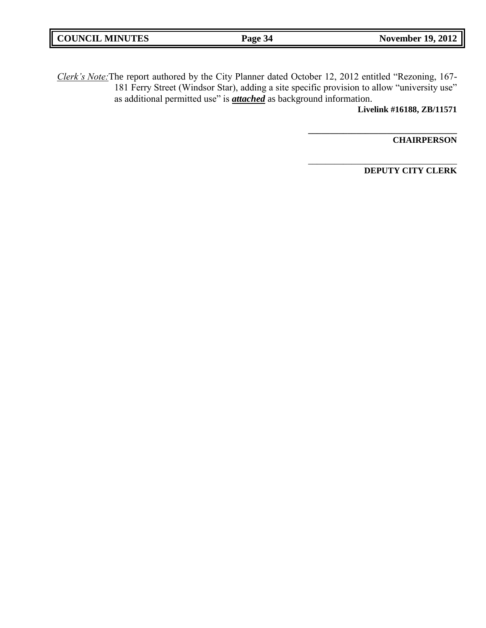| <b>COUNCIL MINUTES</b> | Page 34 | <b>November 19, 2012</b> |
|------------------------|---------|--------------------------|
|                        |         |                          |

*Clerk's Note:*The report authored by the City Planner dated October 12, 2012 entitled "Rezoning, 167- 181 Ferry Street (Windsor Star), adding a site specific provision to allow "university use" as additional permitted use" is *attached* as background information.

**Livelink #16188, ZB/11571**

**\_\_\_\_\_\_\_\_\_\_\_\_\_\_\_\_\_\_\_\_\_\_\_\_\_\_\_\_\_\_\_\_\_\_**

\_\_\_\_\_\_\_\_\_\_\_\_\_\_\_\_\_\_\_\_\_\_\_\_\_\_\_\_\_\_\_\_\_\_

**CHAIRPERSON**

**DEPUTY CITY CLERK**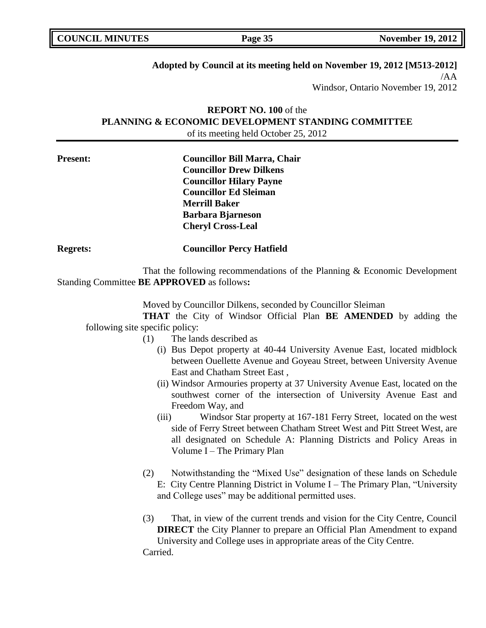| <b>COUNCIL MINUTES</b> | Page 35 | <b>November 19, 2012</b> |
|------------------------|---------|--------------------------|
|                        |         |                          |

# **Adopted by Council at its meeting held on November 19, 2012 [M513-2012]**

/AA Windsor, Ontario November 19, 2012

# **REPORT NO. 100** of the **PLANNING & ECONOMIC DEVELOPMENT STANDING COMMITTEE** of its meeting held October 25, 2012

| <b>Present:</b> | <b>Councillor Bill Marra, Chair</b> |  |
|-----------------|-------------------------------------|--|
|                 | <b>Councillor Drew Dilkens</b>      |  |
|                 | <b>Councillor Hilary Payne</b>      |  |
|                 | <b>Councillor Ed Sleiman</b>        |  |
|                 | <b>Merrill Baker</b>                |  |
|                 | <b>Barbara Bjarneson</b>            |  |
|                 | <b>Cheryl Cross-Leal</b>            |  |
| <b>Regrets:</b> | <b>Councillor Percy Hatfield</b>    |  |

That the following recommendations of the Planning & Economic Development Standing Committee **BE APPROVED** as follows**:** 

Moved by Councillor Dilkens, seconded by Councillor Sleiman

**THAT** the City of Windsor Official Plan **BE AMENDED** by adding the following site specific policy:

- (1) The lands described as
	- (i) Bus Depot property at 40-44 University Avenue East, located midblock between Ouellette Avenue and Goyeau Street, between University Avenue East and Chatham Street East ,
	- (ii) Windsor Armouries property at 37 University Avenue East, located on the southwest corner of the intersection of University Avenue East and Freedom Way, and
	- (iii) Windsor Star property at 167-181 Ferry Street, located on the west side of Ferry Street between Chatham Street West and Pitt Street West, are all designated on Schedule A: Planning Districts and Policy Areas in Volume I – The Primary Plan
	- (2) Notwithstanding the "Mixed Use" designation of these lands on Schedule E: City Centre Planning District in Volume I – The Primary Plan, "University and College uses" may be additional permitted uses.
	- (3) That, in view of the current trends and vision for the City Centre, Council **DIRECT** the City Planner to prepare an Official Plan Amendment to expand University and College uses in appropriate areas of the City Centre. Carried.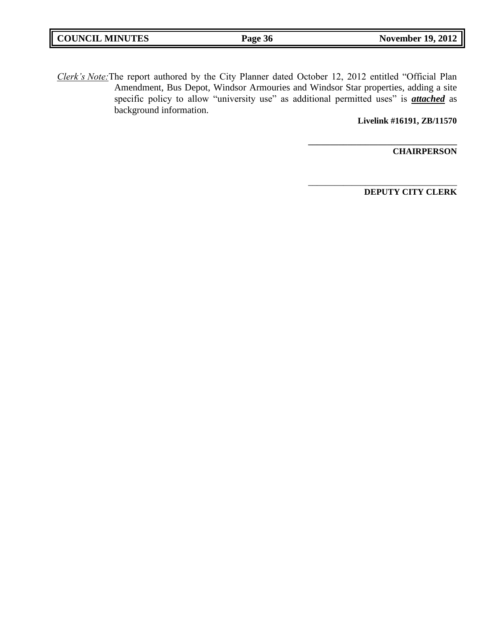| <b>COUNCIL MINUTES</b> | Page 36 | <b>November 19, 2012</b> |
|------------------------|---------|--------------------------|
|                        |         |                          |

*Clerk's Note:*The report authored by the City Planner dated October 12, 2012 entitled "Official Plan Amendment, Bus Depot, Windsor Armouries and Windsor Star properties, adding a site specific policy to allow "university use" as additional permitted uses" is *attached* as background information.

**Livelink #16191, ZB/11570**

**\_\_\_\_\_\_\_\_\_\_\_\_\_\_\_\_\_\_\_\_\_\_\_\_\_\_\_\_\_\_\_\_\_\_**

\_\_\_\_\_\_\_\_\_\_\_\_\_\_\_\_\_\_\_\_\_\_\_\_\_\_\_\_\_\_\_\_\_\_

**CHAIRPERSON**

**DEPUTY CITY CLERK**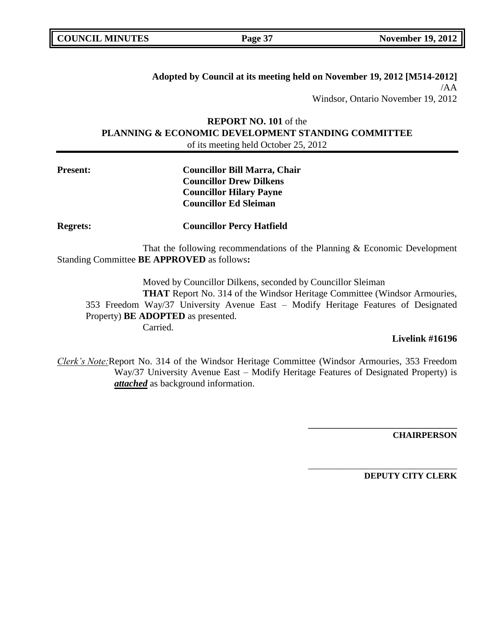**Adopted by Council at its meeting held on November 19, 2012 [M514-2012]** /AA Windsor, Ontario November 19, 2012

**REPORT NO. 101** of the **PLANNING & ECONOMIC DEVELOPMENT STANDING COMMITTEE** of its meeting held October 25, 2012

# **Present: Councillor Bill Marra, Chair Councillor Drew Dilkens Councillor Hilary Payne Councillor Ed Sleiman**

**Regrets: Councillor Percy Hatfield**

That the following recommendations of the Planning & Economic Development Standing Committee **BE APPROVED** as follows**:** 

Moved by Councillor Dilkens, seconded by Councillor Sleiman **THAT** Report No. 314 of the Windsor Heritage Committee (Windsor Armouries, 353 Freedom Way/37 University Avenue East – Modify Heritage Features of Designated Property) **BE ADOPTED** as presented. Carried.

## **Livelink #16196**

*Clerk's Note:*Report No. 314 of the Windsor Heritage Committee (Windsor Armouries, 353 Freedom Way/37 University Avenue East – Modify Heritage Features of Designated Property) is *attached* as background information.

**CHAIRPERSON**

**DEPUTY CITY CLERK**

**\_\_\_\_\_\_\_\_\_\_\_\_\_\_\_\_\_\_\_\_\_\_\_\_\_\_\_\_\_\_\_\_\_\_**

\_\_\_\_\_\_\_\_\_\_\_\_\_\_\_\_\_\_\_\_\_\_\_\_\_\_\_\_\_\_\_\_\_\_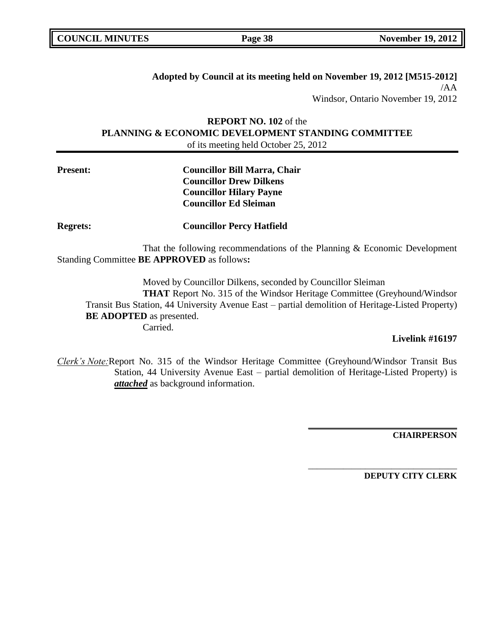**Adopted by Council at its meeting held on November 19, 2012 [M515-2012]** /AA Windsor, Ontario November 19, 2012

# **REPORT NO. 102** of the **PLANNING & ECONOMIC DEVELOPMENT STANDING COMMITTEE** of its meeting held October 25, 2012

# **Present: Councillor Bill Marra, Chair Councillor Drew Dilkens Councillor Hilary Payne Councillor Ed Sleiman**

**Regrets: Councillor Percy Hatfield**

That the following recommendations of the Planning & Economic Development Standing Committee **BE APPROVED** as follows**:** 

Moved by Councillor Dilkens, seconded by Councillor Sleiman **THAT** Report No. 315 of the Windsor Heritage Committee (Greyhound/Windsor Transit Bus Station, 44 University Avenue East – partial demolition of Heritage-Listed Property) **BE ADOPTED** as presented. Carried.

## **Livelink #16197**

*Clerk's Note:*Report No. 315 of the Windsor Heritage Committee (Greyhound/Windsor Transit Bus Station, 44 University Avenue East – partial demolition of Heritage-Listed Property) is *attached* as background information.

**CHAIRPERSON**

**DEPUTY CITY CLERK**

**\_\_\_\_\_\_\_\_\_\_\_\_\_\_\_\_\_\_\_\_\_\_\_\_\_\_\_\_\_\_\_\_\_\_**

\_\_\_\_\_\_\_\_\_\_\_\_\_\_\_\_\_\_\_\_\_\_\_\_\_\_\_\_\_\_\_\_\_\_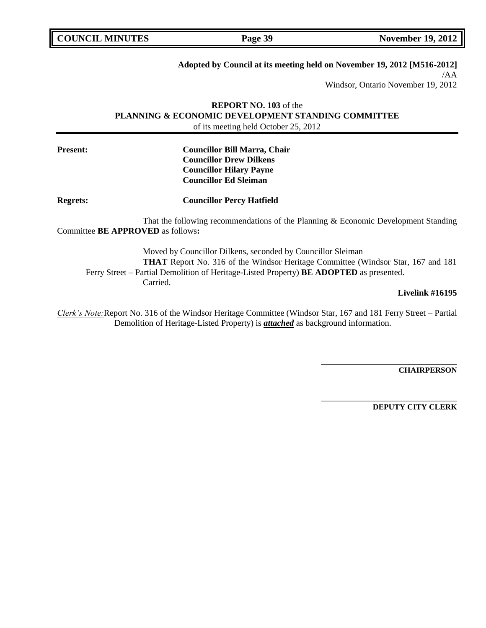# **Adopted by Council at its meeting held on November 19, 2012 [M516-2012]**

/AA

Windsor, Ontario November 19, 2012

# **REPORT NO. 103** of the **PLANNING & ECONOMIC DEVELOPMENT STANDING COMMITTEE** of its meeting held October 25, 2012

**Present: Councillor Bill Marra, Chair Councillor Drew Dilkens Councillor Hilary Payne Councillor Ed Sleiman**

**Regrets: Councillor Percy Hatfield**

That the following recommendations of the Planning & Economic Development Standing Committee **BE APPROVED** as follows**:** 

Moved by Councillor Dilkens, seconded by Councillor Sleiman **THAT** Report No. 316 of the Windsor Heritage Committee (Windsor Star, 167 and 181 Ferry Street – Partial Demolition of Heritage-Listed Property) **BE ADOPTED** as presented. Carried.

### **Livelink #16195**

*Clerk's Note:*Report No. 316 of the Windsor Heritage Committee (Windsor Star, 167 and 181 Ferry Street – Partial Demolition of Heritage-Listed Property) is *attached* as background information.

**CHAIRPERSON**

**DEPUTY CITY CLERK**

**\_\_\_\_\_\_\_\_\_\_\_\_\_\_\_\_\_\_\_\_\_\_\_\_\_\_\_\_\_\_\_\_\_\_**

\_\_\_\_\_\_\_\_\_\_\_\_\_\_\_\_\_\_\_\_\_\_\_\_\_\_\_\_\_\_\_\_\_\_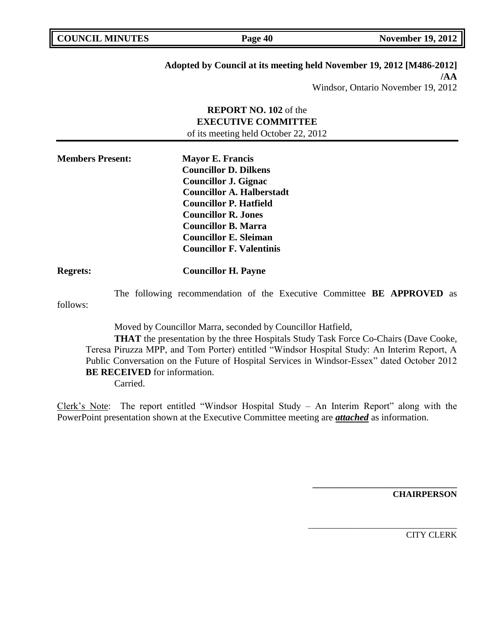## **Adopted by Council at its meeting held November 19, 2012 [M486-2012] /AA**

Windsor, Ontario November 19, 2012

# **REPORT NO. 102** of the **EXECUTIVE COMMITTEE** of its meeting held October 22, 2012

| <b>Members Present:</b> | <b>Mayor E. Francis</b>          |
|-------------------------|----------------------------------|
|                         | <b>Councillor D. Dilkens</b>     |
|                         | <b>Councillor J. Gignac</b>      |
|                         | <b>Councillor A. Halberstadt</b> |
|                         | <b>Councillor P. Hatfield</b>    |
|                         | <b>Councillor R. Jones</b>       |
|                         | Councillor B. Marra              |
|                         | <b>Councillor E. Sleiman</b>     |
|                         | <b>Councillor F. Valentinis</b>  |

# **Regrets: Councillor H. Payne**

The following recommendation of the Executive Committee **BE APPROVED** as follows:

Moved by Councillor Marra, seconded by Councillor Hatfield,

**THAT** the presentation by the three Hospitals Study Task Force Co-Chairs (Dave Cooke, Teresa Piruzza MPP, and Tom Porter) entitled "Windsor Hospital Study: An Interim Report, A Public Conversation on the Future of Hospital Services in Windsor-Essex" dated October 2012 **BE RECEIVED** for information.

Carried.

Clerk's Note: The report entitled "Windsor Hospital Study – An Interim Report" along with the PowerPoint presentation shown at the Executive Committee meeting are *attached* as information.

**CHAIRPERSON**

**\_\_\_\_\_\_\_\_\_\_\_\_\_\_\_\_\_\_\_\_\_\_\_\_\_\_\_\_\_\_\_\_\_**

\_\_\_\_\_\_\_\_\_\_\_\_\_\_\_\_\_\_\_\_\_\_\_\_\_\_\_\_\_\_\_\_\_\_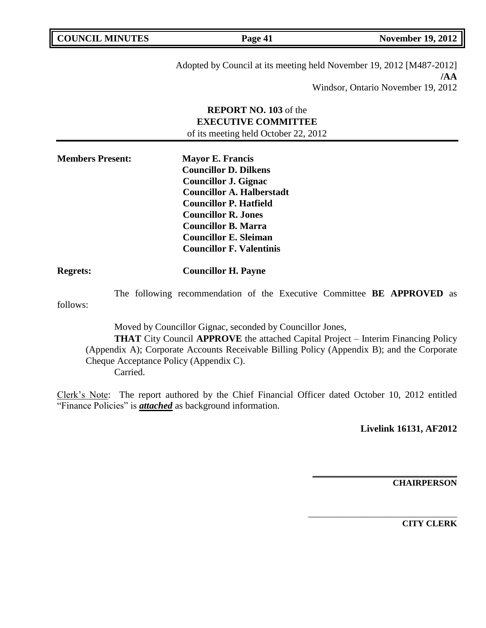| <b>COUNCIL MINUTES</b> |
|------------------------|
|------------------------|

**Page 41 November 19, 2012** 

Adopted by Council at its meeting held November 19, 2012 [M487-2012] **/AA** Windsor, Ontario November 19, 2012

# **REPORT NO. 103** of the **EXECUTIVE COMMITTEE** of its meeting held October 22, 2012

| <b>Members Present:</b> | <b>Mayor E. Francis</b>          |
|-------------------------|----------------------------------|
|                         | <b>Councillor D. Dilkens</b>     |
|                         | <b>Councillor J. Gignac</b>      |
|                         | <b>Councillor A. Halberstadt</b> |
|                         | <b>Councillor P. Hatfield</b>    |
|                         | <b>Councillor R. Jones</b>       |
|                         | <b>Councillor B. Marra</b>       |
|                         | <b>Councillor E. Sleiman</b>     |
|                         | <b>Councillor F. Valentinis</b>  |

# **Regrets: Councillor H. Payne**

The following recommendation of the Executive Committee **BE APPROVED** as follows:

Moved by Councillor Gignac, seconded by Councillor Jones, **THAT** City Council **APPROVE** the attached Capital Project – Interim Financing Policy (Appendix A); Corporate Accounts Receivable Billing Policy (Appendix B); and the Corporate Cheque Acceptance Policy (Appendix C). Carried.

Clerk's Note: The report authored by the Chief Financial Officer dated October 10, 2012 entitled "Finance Policies" is *attached* as background information.

**Livelink 16131, AF2012**

**\_\_\_\_\_\_\_\_\_\_\_\_\_\_\_\_\_\_\_\_\_\_\_\_\_\_\_\_\_\_\_\_\_**

\_\_\_\_\_\_\_\_\_\_\_\_\_\_\_\_\_\_\_\_\_\_\_\_\_\_\_\_\_\_\_\_\_\_

**CHAIRPERSON**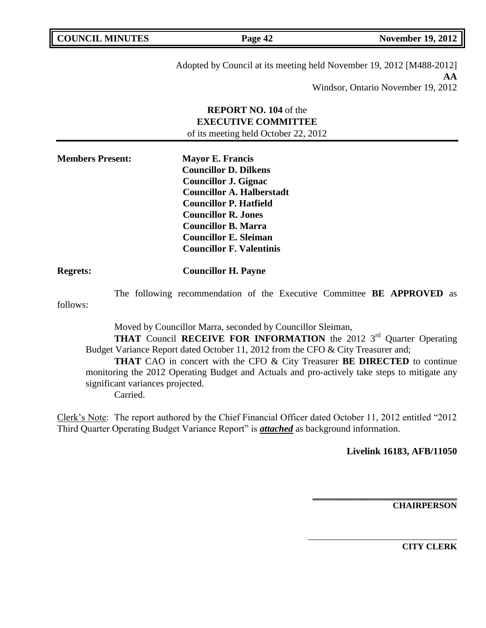| <b>COUNCIL MINUTES</b> |  |  |
|------------------------|--|--|
|------------------------|--|--|

**Page 42 November 19, 2012** 

Adopted by Council at its meeting held November 19, 2012 [M488-2012] **AA**

Windsor, Ontario November 19, 2012

# **REPORT NO. 104** of the **EXECUTIVE COMMITTEE** of its meeting held October 22, 2012

| <b>Members Present:</b> | <b>Mayor E. Francis</b>          |
|-------------------------|----------------------------------|
|                         | <b>Councillor D. Dilkens</b>     |
|                         | <b>Councillor J. Gignac</b>      |
|                         | <b>Councillor A. Halberstadt</b> |
|                         | <b>Councillor P. Hatfield</b>    |
|                         | <b>Councillor R. Jones</b>       |
|                         | <b>Councillor B. Marra</b>       |
|                         | <b>Councillor E. Sleiman</b>     |
|                         | <b>Councillor F. Valentinis</b>  |

# **Regrets: Councillor H. Payne**

The following recommendation of the Executive Committee **BE APPROVED** as follows:

Moved by Councillor Marra, seconded by Councillor Sleiman,

**THAT** Council **RECEIVE FOR INFORMATION** the 2012 3<sup>rd</sup> Quarter Operating Budget Variance Report dated October 11, 2012 from the CFO & City Treasurer and;

**THAT** CAO in concert with the CFO & City Treasurer **BE DIRECTED** to continue monitoring the 2012 Operating Budget and Actuals and pro-actively take steps to mitigate any significant variances projected.

Carried.

Clerk's Note: The report authored by the Chief Financial Officer dated October 11, 2012 entitled "2012 Third Quarter Operating Budget Variance Report" is *attached* as background information.

**Livelink 16183, AFB/11050**

**\_\_\_\_\_\_\_\_\_\_\_\_\_\_\_\_\_\_\_\_\_\_\_\_\_\_\_\_\_\_\_\_\_**

\_\_\_\_\_\_\_\_\_\_\_\_\_\_\_\_\_\_\_\_\_\_\_\_\_\_\_\_\_\_\_\_\_\_

**CHAIRPERSON**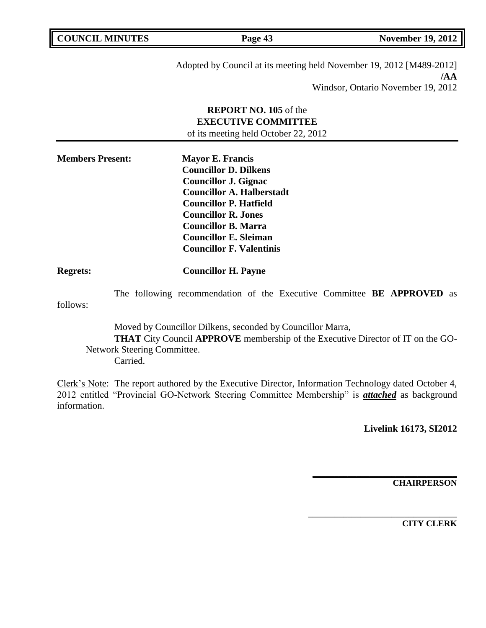**Page 43 November 19, 2012** 

Adopted by Council at its meeting held November 19, 2012 [M489-2012] **/AA** Windsor, Ontario November 19, 2012

# **REPORT NO. 105** of the **EXECUTIVE COMMITTEE** of its meeting held October 22, 2012

| <b>Members Present:</b> | <b>Mayor E. Francis</b>          |
|-------------------------|----------------------------------|
|                         | <b>Councillor D. Dilkens</b>     |
|                         | <b>Councillor J. Gignac</b>      |
|                         | <b>Councillor A. Halberstadt</b> |
|                         | <b>Councillor P. Hatfield</b>    |
|                         | <b>Councillor R. Jones</b>       |
|                         | <b>Councillor B. Marra</b>       |
|                         | <b>Councillor E. Sleiman</b>     |
|                         | <b>Councillor F. Valentinis</b>  |

# **Regrets: Councillor H. Payne**

The following recommendation of the Executive Committee **BE APPROVED** as follows:

Moved by Councillor Dilkens, seconded by Councillor Marra, **THAT** City Council **APPROVE** membership of the Executive Director of IT on the GO-Network Steering Committee. Carried.

Clerk's Note: The report authored by the Executive Director, Information Technology dated October 4, 2012 entitled "Provincial GO-Network Steering Committee Membership" is *attached* as background information.

**Livelink 16173, SI2012**

**\_\_\_\_\_\_\_\_\_\_\_\_\_\_\_\_\_\_\_\_\_\_\_\_\_\_\_\_\_\_\_\_\_**

\_\_\_\_\_\_\_\_\_\_\_\_\_\_\_\_\_\_\_\_\_\_\_\_\_\_\_\_\_\_\_\_\_\_

**CHAIRPERSON**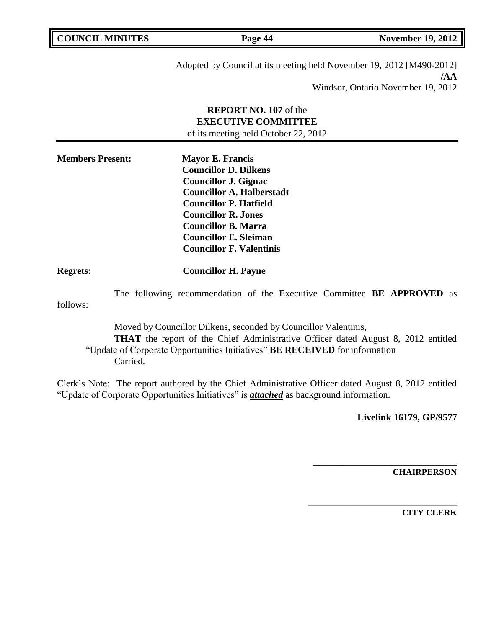**Page 44 November 19, 2012** 

Adopted by Council at its meeting held November 19, 2012 [M490-2012] **/AA** Windsor, Ontario November 19, 2012

# **REPORT NO. 107** of the **EXECUTIVE COMMITTEE** of its meeting held October 22, 2012

| <b>Members Present:</b> | <b>Mayor E. Francis</b>          |
|-------------------------|----------------------------------|
|                         | <b>Councillor D. Dilkens</b>     |
|                         | <b>Councillor J. Gignac</b>      |
|                         | <b>Councillor A. Halberstadt</b> |
|                         | <b>Councillor P. Hatfield</b>    |
|                         | <b>Councillor R. Jones</b>       |
|                         | <b>Councillor B. Marra</b>       |
|                         | <b>Councillor E. Sleiman</b>     |
|                         | <b>Councillor F. Valentinis</b>  |

# **Regrets: Councillor H. Payne**

The following recommendation of the Executive Committee **BE APPROVED** as follows:

Moved by Councillor Dilkens, seconded by Councillor Valentinis, **THAT** the report of the Chief Administrative Officer dated August 8, 2012 entitled "Update of Corporate Opportunities Initiatives" **BE RECEIVED** for information Carried.

Clerk's Note: The report authored by the Chief Administrative Officer dated August 8, 2012 entitled "Update of Corporate Opportunities Initiatives" is *attached* as background information.

**Livelink 16179, GP/9577**

**\_\_\_\_\_\_\_\_\_\_\_\_\_\_\_\_\_\_\_\_\_\_\_\_\_\_\_\_\_\_\_\_\_**

\_\_\_\_\_\_\_\_\_\_\_\_\_\_\_\_\_\_\_\_\_\_\_\_\_\_\_\_\_\_\_\_\_\_

**CHAIRPERSON**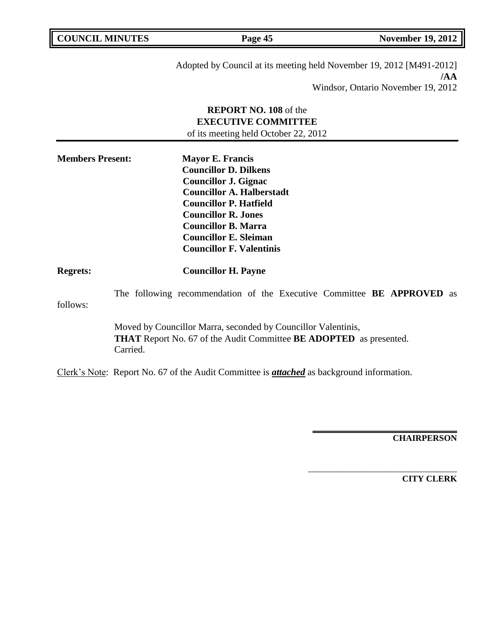| <b>COUNCIL MINUTES</b>  |          | Page 45                                                                                                                                                                                                                                                                                    | <b>November 19, 2012</b>                  |
|-------------------------|----------|--------------------------------------------------------------------------------------------------------------------------------------------------------------------------------------------------------------------------------------------------------------------------------------------|-------------------------------------------|
|                         |          | Adopted by Council at its meeting held November 19, 2012 [M491-2012]                                                                                                                                                                                                                       | /AA<br>Windsor, Ontario November 19, 2012 |
|                         |          | <b>REPORT NO. 108</b> of the<br><b>EXECUTIVE COMMITTEE</b><br>of its meeting held October 22, 2012                                                                                                                                                                                         |                                           |
| <b>Members Present:</b> |          | <b>Mayor E. Francis</b><br><b>Councillor D. Dilkens</b><br><b>Councillor J. Gignac</b><br><b>Councillor A. Halberstadt</b><br><b>Councillor P. Hatfield</b><br><b>Councillor R. Jones</b><br><b>Councillor B. Marra</b><br><b>Councillor E. Sleiman</b><br><b>Councillor F. Valentinis</b> |                                           |
| <b>Regrets:</b>         |          | <b>Councillor H. Payne</b>                                                                                                                                                                                                                                                                 |                                           |
| follows:                |          | The following recommendation of the Executive Committee BE APPROVED as                                                                                                                                                                                                                     |                                           |
|                         | Carried. | Moved by Councillor Marra, seconded by Councillor Valentinis,<br><b>THAT</b> Report No. 67 of the Audit Committee <b>BE ADOPTED</b> as presented.                                                                                                                                          |                                           |
|                         |          | Clerk's Note: Report No. 67 of the Audit Committee is <i>attached</i> as background information.                                                                                                                                                                                           |                                           |

**CHAIRPERSON**

**\_\_\_\_\_\_\_\_\_\_\_\_\_\_\_\_\_\_\_\_\_\_\_\_\_\_\_\_\_\_\_\_\_**

\_\_\_\_\_\_\_\_\_\_\_\_\_\_\_\_\_\_\_\_\_\_\_\_\_\_\_\_\_\_\_\_\_\_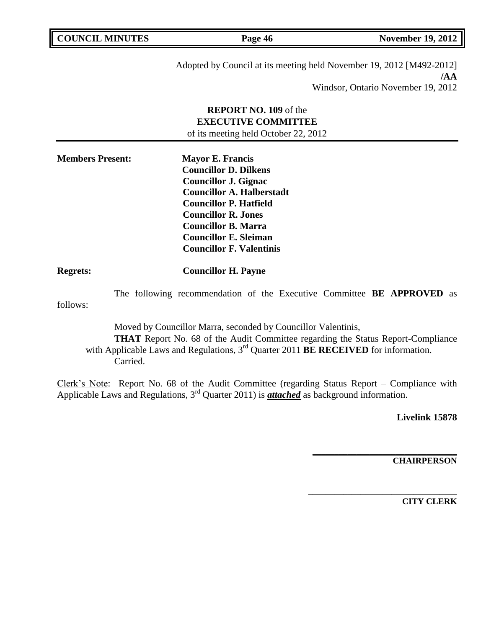| <b>COUNCIL MINUTES</b> |         | <b>November 19, 2012</b> |
|------------------------|---------|--------------------------|
|                        | Page 46 |                          |

Adopted by Council at its meeting held November 19, 2012 [M492-2012] **/AA** Windsor, Ontario November 19, 2012

# **REPORT NO. 109** of the **EXECUTIVE COMMITTEE** of its meeting held October 22, 2012

| <b>Members Present:</b> | <b>Mayor E. Francis</b>          |
|-------------------------|----------------------------------|
|                         | <b>Councillor D. Dilkens</b>     |
|                         | <b>Councillor J. Gignac</b>      |
|                         | <b>Councillor A. Halberstadt</b> |
|                         | <b>Councillor P. Hatfield</b>    |
|                         | <b>Councillor R. Jones</b>       |
|                         | <b>Councillor B. Marra</b>       |
|                         | <b>Councillor E. Sleiman</b>     |
|                         | <b>Councillor F. Valentinis</b>  |

# **Regrets: Councillor H. Payne**

The following recommendation of the Executive Committee **BE APPROVED** as follows:

Moved by Councillor Marra, seconded by Councillor Valentinis, **THAT** Report No. 68 of the Audit Committee regarding the Status Report-Compliance with Applicable Laws and Regulations, 3<sup>rd</sup> Quarter 2011 **BE RECEIVED** for information. Carried.

Clerk's Note: Report No. 68 of the Audit Committee (regarding Status Report – Compliance with Applicable Laws and Regulations, 3rd Quarter 2011) is *attached* as background information.

**Livelink 15878**

**CHAIRPERSON**

**\_\_\_\_\_\_\_\_\_\_\_\_\_\_\_\_\_\_\_\_\_\_\_\_\_\_\_\_\_\_\_\_\_**

\_\_\_\_\_\_\_\_\_\_\_\_\_\_\_\_\_\_\_\_\_\_\_\_\_\_\_\_\_\_\_\_\_\_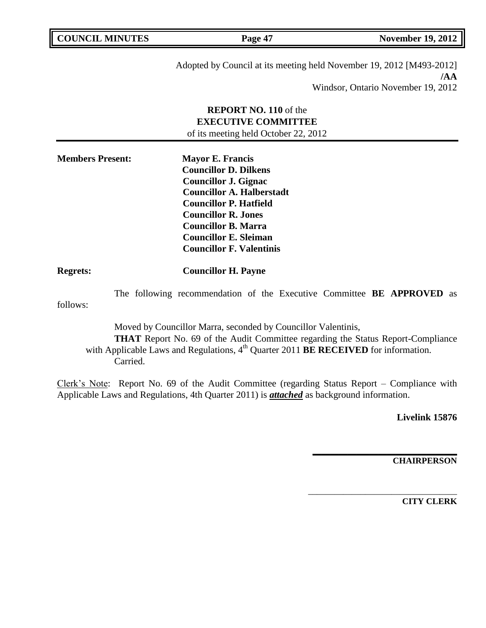**Page 47 November 19, 2012** 

Adopted by Council at its meeting held November 19, 2012 [M493-2012] **/AA** Windsor, Ontario November 19, 2012

# **REPORT NO. 110** of the **EXECUTIVE COMMITTEE** of its meeting held October 22, 2012

| <b>Members Present:</b> | <b>Mayor E. Francis</b>          |
|-------------------------|----------------------------------|
|                         | <b>Councillor D. Dilkens</b>     |
|                         | <b>Councillor J. Gignac</b>      |
|                         | <b>Councillor A. Halberstadt</b> |
|                         | <b>Councillor P. Hatfield</b>    |
|                         | <b>Councillor R. Jones</b>       |
|                         | <b>Councillor B. Marra</b>       |
|                         | <b>Councillor E. Sleiman</b>     |
|                         | <b>Councillor F. Valentinis</b>  |

# **Regrets: Councillor H. Payne**

The following recommendation of the Executive Committee **BE APPROVED** as follows:

Moved by Councillor Marra, seconded by Councillor Valentinis, **THAT** Report No. 69 of the Audit Committee regarding the Status Report-Compliance with Applicable Laws and Regulations, 4<sup>th</sup> Quarter 2011 **BE RECEIVED** for information. Carried.

Clerk's Note: Report No. 69 of the Audit Committee (regarding Status Report – Compliance with Applicable Laws and Regulations, 4th Quarter 2011) is *attached* as background information.

**Livelink 15876**

**CHAIRPERSON**

**\_\_\_\_\_\_\_\_\_\_\_\_\_\_\_\_\_\_\_\_\_\_\_\_\_\_\_\_\_\_\_\_\_**

\_\_\_\_\_\_\_\_\_\_\_\_\_\_\_\_\_\_\_\_\_\_\_\_\_\_\_\_\_\_\_\_\_\_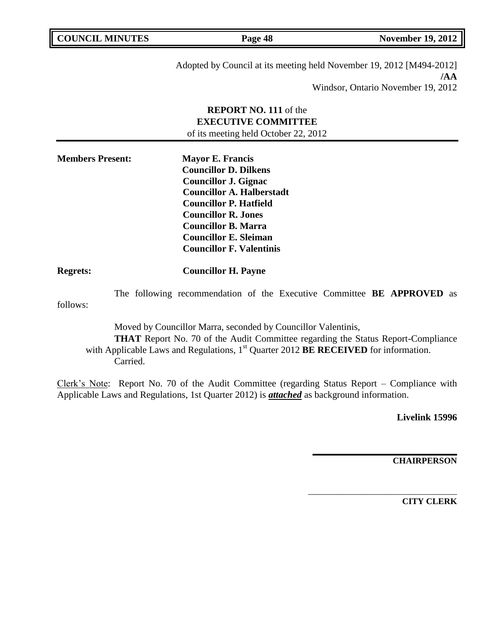**Page 48 November 19, 2012** 

Adopted by Council at its meeting held November 19, 2012 [M494-2012] **/AA** Windsor, Ontario November 19, 2012

# **REPORT NO. 111** of the **EXECUTIVE COMMITTEE** of its meeting held October 22, 2012

| <b>Members Present:</b> | <b>Mayor E. Francis</b>          |
|-------------------------|----------------------------------|
|                         | <b>Councillor D. Dilkens</b>     |
|                         | <b>Councillor J. Gignac</b>      |
|                         | <b>Councillor A. Halberstadt</b> |
|                         | <b>Councillor P. Hatfield</b>    |
|                         | <b>Councillor R. Jones</b>       |
|                         | <b>Councillor B. Marra</b>       |
|                         | <b>Councillor E. Sleiman</b>     |
|                         | <b>Councillor F. Valentinis</b>  |

# **Regrets: Councillor H. Payne**

The following recommendation of the Executive Committee **BE APPROVED** as follows:

Moved by Councillor Marra, seconded by Councillor Valentinis, **THAT** Report No. 70 of the Audit Committee regarding the Status Report-Compliance with Applicable Laws and Regulations, 1<sup>st</sup> Quarter 2012 **BE RECEIVED** for information. Carried.

Clerk's Note: Report No. 70 of the Audit Committee (regarding Status Report – Compliance with Applicable Laws and Regulations, 1st Quarter 2012) is *attached* as background information.

**Livelink 15996**

**CHAIRPERSON**

**\_\_\_\_\_\_\_\_\_\_\_\_\_\_\_\_\_\_\_\_\_\_\_\_\_\_\_\_\_\_\_\_\_**

\_\_\_\_\_\_\_\_\_\_\_\_\_\_\_\_\_\_\_\_\_\_\_\_\_\_\_\_\_\_\_\_\_\_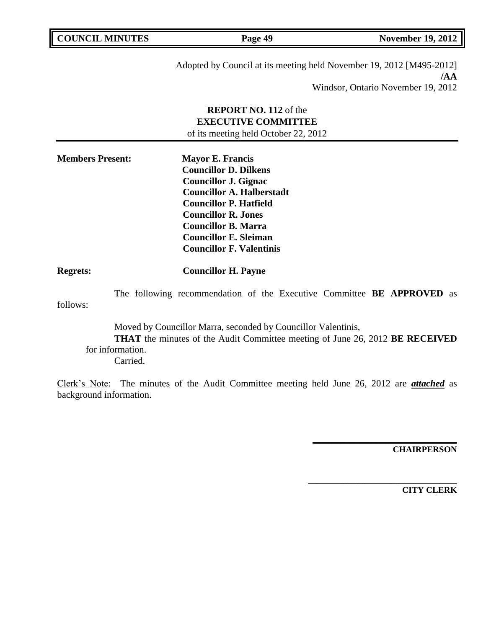**Page 49 November 19, 2012** 

Adopted by Council at its meeting held November 19, 2012 [M495-2012] **/AA** Windsor, Ontario November 19, 2012

# **REPORT NO. 112** of the **EXECUTIVE COMMITTEE** of its meeting held October 22, 2012

| <b>Members Present:</b> | <b>Mayor E. Francis</b>          |
|-------------------------|----------------------------------|
|                         | <b>Councillor D. Dilkens</b>     |
|                         | <b>Councillor J. Gignac</b>      |
|                         | <b>Councillor A. Halberstadt</b> |
|                         | <b>Councillor P. Hatfield</b>    |
|                         | <b>Councillor R. Jones</b>       |
|                         | <b>Councillor B. Marra</b>       |
|                         | <b>Councillor E. Sleiman</b>     |
|                         | <b>Councillor F. Valentinis</b>  |

## **Regrets: Councillor H. Payne**

The following recommendation of the Executive Committee **BE APPROVED** as follows:

Moved by Councillor Marra, seconded by Councillor Valentinis, **THAT** the minutes of the Audit Committee meeting of June 26, 2012 **BE RECEIVED**  for information. Carried.

Clerk's Note: The minutes of the Audit Committee meeting held June 26, 2012 are *attached* as background information.

**CHAIRPERSON**

**\_\_\_\_\_\_\_\_\_\_\_\_\_\_\_\_\_\_\_\_\_\_\_\_\_\_\_\_\_\_\_\_\_**

**\_\_\_\_\_\_\_\_\_\_\_\_\_\_\_\_\_\_\_\_\_\_\_\_\_\_\_\_\_\_\_\_\_\_**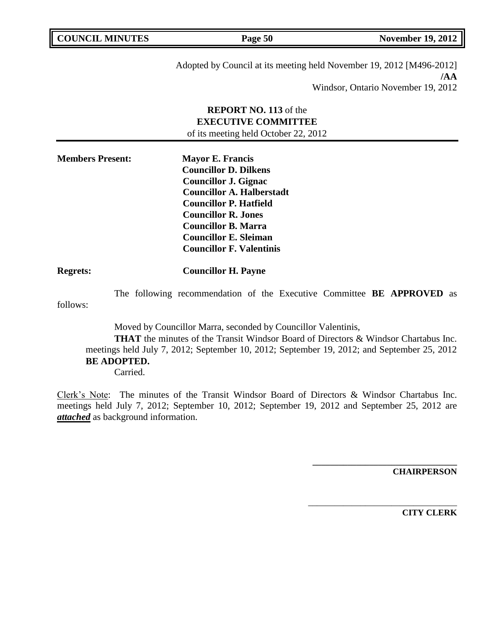**Page 50 November 19, 2012** 

Adopted by Council at its meeting held November 19, 2012 [M496-2012] **/AA** Windsor, Ontario November 19, 2012

# **REPORT NO. 113** of the **EXECUTIVE COMMITTEE** of its meeting held October 22, 2012

| <b>Members Present:</b> | <b>Mayor E. Francis</b>          |
|-------------------------|----------------------------------|
|                         | <b>Councillor D. Dilkens</b>     |
|                         | <b>Councillor J. Gignac</b>      |
|                         | <b>Councillor A. Halberstadt</b> |
|                         | <b>Councillor P. Hatfield</b>    |
|                         | <b>Councillor R. Jones</b>       |
|                         | <b>Councillor B. Marra</b>       |
|                         | <b>Councillor E. Sleiman</b>     |
|                         | <b>Councillor F. Valentinis</b>  |

# **Regrets: Councillor H. Payne**

The following recommendation of the Executive Committee **BE APPROVED** as follows:

Moved by Councillor Marra, seconded by Councillor Valentinis,

**THAT** the minutes of the Transit Windsor Board of Directors & Windsor Chartabus Inc. meetings held July 7, 2012; September 10, 2012; September 19, 2012; and September 25, 2012 **BE ADOPTED.** Carried.

Clerk's Note: The minutes of the Transit Windsor Board of Directors & Windsor Chartabus Inc. meetings held July 7, 2012; September 10, 2012; September 19, 2012 and September 25, 2012 are *attached* as background information.

**CHAIRPERSON**

**\_\_\_\_\_\_\_\_\_\_\_\_\_\_\_\_\_\_\_\_\_\_\_\_\_\_\_\_\_\_\_\_\_**

\_\_\_\_\_\_\_\_\_\_\_\_\_\_\_\_\_\_\_\_\_\_\_\_\_\_\_\_\_\_\_\_\_\_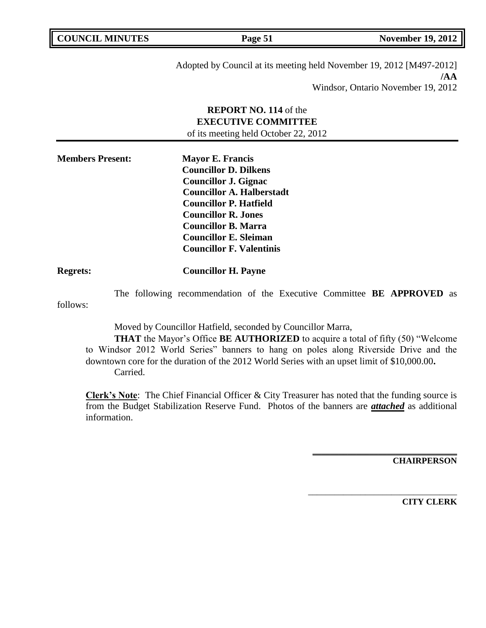**Page 51 November 19, 2012** 

Adopted by Council at its meeting held November 19, 2012 [M497-2012] **/AA** Windsor, Ontario November 19, 2012

# **REPORT NO. 114** of the **EXECUTIVE COMMITTEE** of its meeting held October 22, 2012

| <b>Members Present:</b> | <b>Mayor E. Francis</b>          |
|-------------------------|----------------------------------|
|                         | <b>Councillor D. Dilkens</b>     |
|                         | <b>Councillor J. Gignac</b>      |
|                         | <b>Councillor A. Halberstadt</b> |
|                         | <b>Councillor P. Hatfield</b>    |
|                         | <b>Councillor R. Jones</b>       |
|                         | <b>Councillor B. Marra</b>       |
|                         | <b>Councillor E. Sleiman</b>     |
|                         | <b>Councillor F. Valentinis</b>  |

# **Regrets: Councillor H. Payne**

The following recommendation of the Executive Committee **BE APPROVED** as follows:

Moved by Councillor Hatfield, seconded by Councillor Marra,

**THAT** the Mayor's Office **BE AUTHORIZED** to acquire a total of fifty (50) "Welcome to Windsor 2012 World Series" banners to hang on poles along Riverside Drive and the downtown core for the duration of the 2012 World Series with an upset limit of \$10,000.00**.** Carried.

**Clerk's Note**: The Chief Financial Officer & City Treasurer has noted that the funding source is from the Budget Stabilization Reserve Fund. Photos of the banners are *attached* as additional information.

**CHAIRPERSON**

**\_\_\_\_\_\_\_\_\_\_\_\_\_\_\_\_\_\_\_\_\_\_\_\_\_\_\_\_\_\_\_\_\_**

\_\_\_\_\_\_\_\_\_\_\_\_\_\_\_\_\_\_\_\_\_\_\_\_\_\_\_\_\_\_\_\_\_\_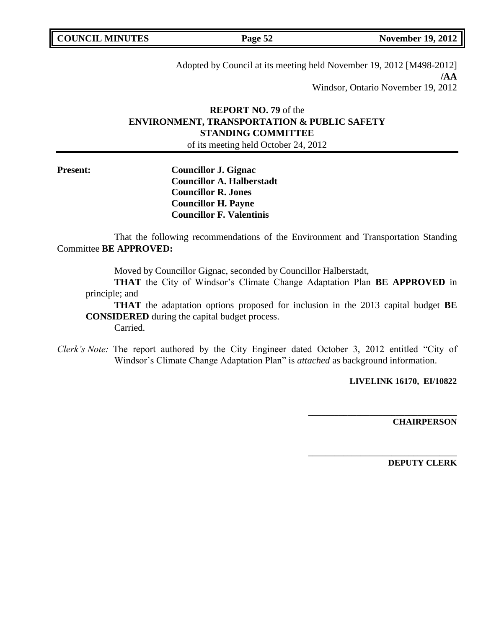Adopted by Council at its meeting held November 19, 2012 [M498-2012] **/AA** Windsor, Ontario November 19, 2012

# **REPORT NO. 79** of the **ENVIRONMENT, TRANSPORTATION & PUBLIC SAFETY STANDING COMMITTEE**

of its meeting held October 24, 2012

**Present: Councillor J. Gignac Councillor A. Halberstadt Councillor R. Jones Councillor H. Payne Councillor F. Valentinis**

That the following recommendations of the Environment and Transportation Standing Committee **BE APPROVED:** 

Moved by Councillor Gignac, seconded by Councillor Halberstadt,

**THAT** the City of Windsor's Climate Change Adaptation Plan **BE APPROVED** in principle; and

**THAT** the adaptation options proposed for inclusion in the 2013 capital budget **BE CONSIDERED** during the capital budget process. Carried.

*Clerk's Note:* The report authored by the City Engineer dated October 3, 2012 entitled "City of Windsor's Climate Change Adaptation Plan" is *attached* as background information.

**LIVELINK 16170, EI/10822**

**\_\_\_\_\_\_\_\_\_\_\_\_\_\_\_\_\_\_\_\_\_\_\_\_\_\_\_\_\_\_\_\_\_\_**

\_\_\_\_\_\_\_\_\_\_\_\_\_\_\_\_\_\_\_\_\_\_\_\_\_\_\_\_\_\_\_\_\_\_

**CHAIRPERSON**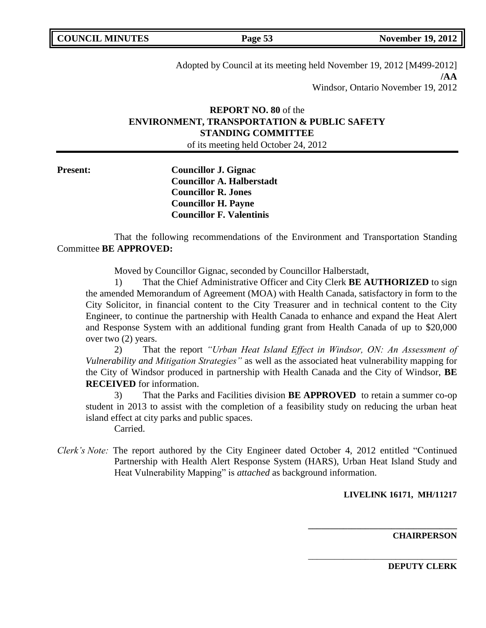Adopted by Council at its meeting held November 19, 2012 [M499-2012] **/AA** Windsor, Ontario November 19, 2012

# **REPORT NO. 80** of the **ENVIRONMENT, TRANSPORTATION & PUBLIC SAFETY STANDING COMMITTEE**

of its meeting held October 24, 2012

**Present: Councillor J. Gignac Councillor A. Halberstadt Councillor R. Jones Councillor H. Payne Councillor F. Valentinis**

That the following recommendations of the Environment and Transportation Standing Committee **BE APPROVED:** 

Moved by Councillor Gignac, seconded by Councillor Halberstadt,

1) That the Chief Administrative Officer and City Clerk **BE AUTHORIZED** to sign the amended Memorandum of Agreement (MOA) with Health Canada, satisfactory in form to the City Solicitor, in financial content to the City Treasurer and in technical content to the City Engineer, to continue the partnership with Health Canada to enhance and expand the Heat Alert and Response System with an additional funding grant from Health Canada of up to \$20,000 over two (2) years.

2) That the report *"Urban Heat Island Effect in Windsor, ON: An Assessment of Vulnerability and Mitigation Strategies"* as well as the associated heat vulnerability mapping for the City of Windsor produced in partnership with Health Canada and the City of Windsor, **BE RECEIVED** for information.

3) That the Parks and Facilities division **BE APPROVED** to retain a summer co-op student in 2013 to assist with the completion of a feasibility study on reducing the urban heat island effect at city parks and public spaces. Carried.

- 
- *Clerk's Note:* The report authored by the City Engineer dated October 4, 2012 entitled "Continued Partnership with Health Alert Response System (HARS), Urban Heat Island Study and Heat Vulnerability Mapping" is *attached* as background information.

## **LIVELINK 16171, MH/11217**

**\_\_\_\_\_\_\_\_\_\_\_\_\_\_\_\_\_\_\_\_\_\_\_\_\_\_\_\_\_\_\_\_\_\_**

\_\_\_\_\_\_\_\_\_\_\_\_\_\_\_\_\_\_\_\_\_\_\_\_\_\_\_\_\_\_\_\_\_\_

**CHAIRPERSON**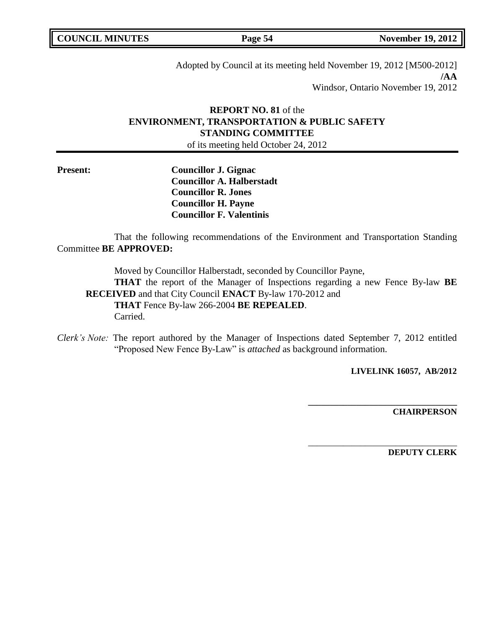**COUNCIL MINUTES Page 54 November 19, 2012** 

Adopted by Council at its meeting held November 19, 2012 [M500-2012] **/AA** Windsor, Ontario November 19, 2012

# **REPORT NO. 81** of the **ENVIRONMENT, TRANSPORTATION & PUBLIC SAFETY STANDING COMMITTEE**

of its meeting held October 24, 2012

**Present: Councillor J. Gignac Councillor A. Halberstadt Councillor R. Jones Councillor H. Payne Councillor F. Valentinis**

That the following recommendations of the Environment and Transportation Standing Committee **BE APPROVED:** 

Moved by Councillor Halberstadt, seconded by Councillor Payne, **THAT** the report of the Manager of Inspections regarding a new Fence By-law **BE RECEIVED** and that City Council **ENACT** By-law 170-2012 and **THAT** Fence By-law 266-2004 **BE REPEALED**. Carried.

*Clerk's Note:* The report authored by the Manager of Inspections dated September 7, 2012 entitled "Proposed New Fence By-Law" is *attached* as background information.

**LIVELINK 16057, AB/2012**

**\_\_\_\_\_\_\_\_\_\_\_\_\_\_\_\_\_\_\_\_\_\_\_\_\_\_\_\_\_\_\_\_\_\_**

\_\_\_\_\_\_\_\_\_\_\_\_\_\_\_\_\_\_\_\_\_\_\_\_\_\_\_\_\_\_\_\_\_\_

**CHAIRPERSON**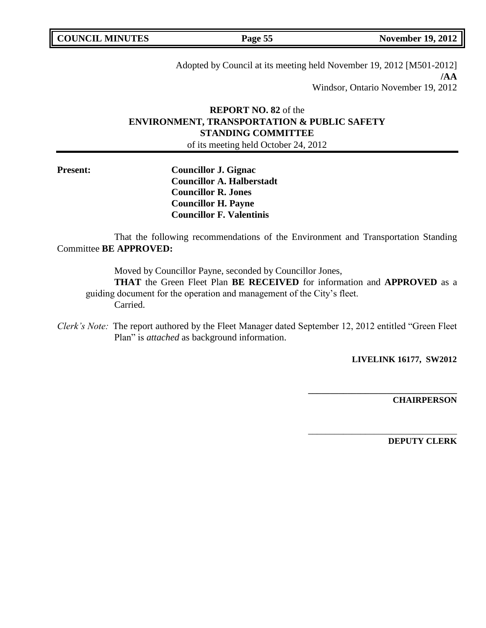| <b>COUNCIL MINUTES</b> |  |
|------------------------|--|
|------------------------|--|

Adopted by Council at its meeting held November 19, 2012 [M501-2012] **/AA** Windsor, Ontario November 19, 2012

# **REPORT NO. 82** of the **ENVIRONMENT, TRANSPORTATION & PUBLIC SAFETY STANDING COMMITTEE**

of its meeting held October 24, 2012

**Present: Councillor J. Gignac Councillor A. Halberstadt Councillor R. Jones Councillor H. Payne Councillor F. Valentinis**

That the following recommendations of the Environment and Transportation Standing Committee **BE APPROVED:** 

Moved by Councillor Payne, seconded by Councillor Jones,

**THAT** the Green Fleet Plan **BE RECEIVED** for information and **APPROVED** as a guiding document for the operation and management of the City's fleet. Carried.

*Clerk's Note:* The report authored by the Fleet Manager dated September 12, 2012 entitled "Green Fleet Plan" is *attached* as background information.

**LIVELINK 16177, SW2012**

**\_\_\_\_\_\_\_\_\_\_\_\_\_\_\_\_\_\_\_\_\_\_\_\_\_\_\_\_\_\_\_\_\_\_**

\_\_\_\_\_\_\_\_\_\_\_\_\_\_\_\_\_\_\_\_\_\_\_\_\_\_\_\_\_\_\_\_\_\_

**CHAIRPERSON**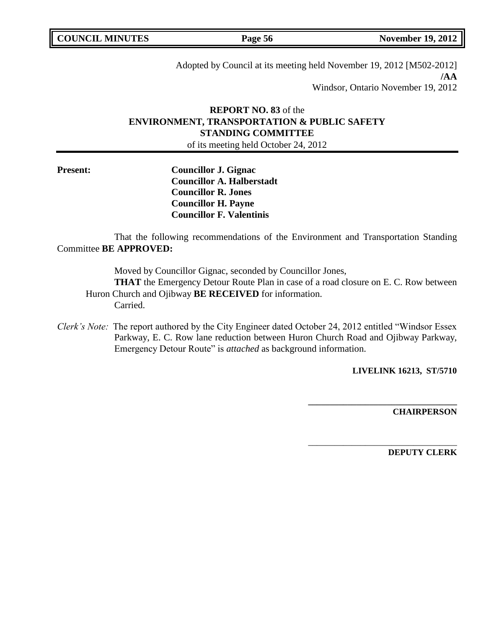| <b>COUNCIL MINUTES</b> |  |
|------------------------|--|
|------------------------|--|

Adopted by Council at its meeting held November 19, 2012 [M502-2012] **/AA** Windsor, Ontario November 19, 2012

# **REPORT NO. 83** of the **ENVIRONMENT, TRANSPORTATION & PUBLIC SAFETY STANDING COMMITTEE**

of its meeting held October 24, 2012

**Present: Councillor J. Gignac Councillor A. Halberstadt Councillor R. Jones Councillor H. Payne Councillor F. Valentinis**

That the following recommendations of the Environment and Transportation Standing Committee **BE APPROVED:** 

Moved by Councillor Gignac, seconded by Councillor Jones,

**THAT** the Emergency Detour Route Plan in case of a road closure on E. C. Row between Huron Church and Ojibway **BE RECEIVED** for information. Carried.

*Clerk's Note:* The report authored by the City Engineer dated October 24, 2012 entitled "Windsor Essex Parkway, E. C. Row lane reduction between Huron Church Road and Ojibway Parkway, Emergency Detour Route" is *attached* as background information.

**LIVELINK 16213, ST/5710**

**\_\_\_\_\_\_\_\_\_\_\_\_\_\_\_\_\_\_\_\_\_\_\_\_\_\_\_\_\_\_\_\_\_\_**

\_\_\_\_\_\_\_\_\_\_\_\_\_\_\_\_\_\_\_\_\_\_\_\_\_\_\_\_\_\_\_\_\_\_

**CHAIRPERSON**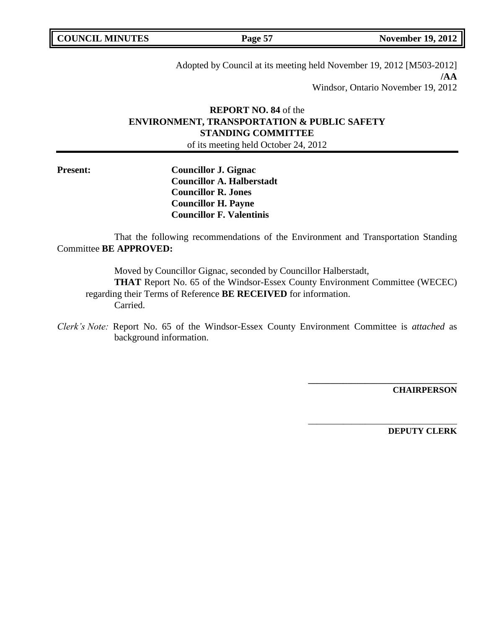| <b>COUNCIL MINUTES</b> |  |
|------------------------|--|
|------------------------|--|

Adopted by Council at its meeting held November 19, 2012 [M503-2012] **/AA** Windsor, Ontario November 19, 2012

# **REPORT NO. 84** of the **ENVIRONMENT, TRANSPORTATION & PUBLIC SAFETY STANDING COMMITTEE**

of its meeting held October 24, 2012

**Present: Councillor J. Gignac Councillor A. Halberstadt Councillor R. Jones Councillor H. Payne Councillor F. Valentinis**

That the following recommendations of the Environment and Transportation Standing Committee **BE APPROVED:** 

Moved by Councillor Gignac, seconded by Councillor Halberstadt, **THAT** Report No. 65 of the Windsor-Essex County Environment Committee (WECEC) regarding their Terms of Reference **BE RECEIVED** for information. Carried.

*Clerk's Note:* Report No. 65 of the Windsor-Essex County Environment Committee is *attached* as background information.

**CHAIRPERSON**

**\_\_\_\_\_\_\_\_\_\_\_\_\_\_\_\_\_\_\_\_\_\_\_\_\_\_\_\_\_\_\_\_\_\_**

\_\_\_\_\_\_\_\_\_\_\_\_\_\_\_\_\_\_\_\_\_\_\_\_\_\_\_\_\_\_\_\_\_\_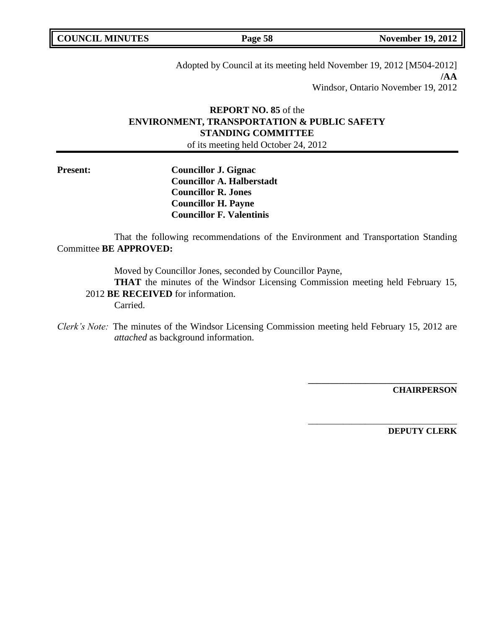| <b>COUNCIL MINUTES</b> |  |
|------------------------|--|
|------------------------|--|

Adopted by Council at its meeting held November 19, 2012 [M504-2012] **/AA** Windsor, Ontario November 19, 2012

# **REPORT NO. 85** of the **ENVIRONMENT, TRANSPORTATION & PUBLIC SAFETY STANDING COMMITTEE**

of its meeting held October 24, 2012

**Present: Councillor J. Gignac Councillor A. Halberstadt Councillor R. Jones Councillor H. Payne Councillor F. Valentinis**

That the following recommendations of the Environment and Transportation Standing Committee **BE APPROVED:** 

Moved by Councillor Jones, seconded by Councillor Payne,

**THAT** the minutes of the Windsor Licensing Commission meeting held February 15, 2012 **BE RECEIVED** for information.

Carried.

*Clerk's Note:* The minutes of the Windsor Licensing Commission meeting held February 15, 2012 are *attached* as background information.

**CHAIRPERSON**

**\_\_\_\_\_\_\_\_\_\_\_\_\_\_\_\_\_\_\_\_\_\_\_\_\_\_\_\_\_\_\_\_\_\_**

\_\_\_\_\_\_\_\_\_\_\_\_\_\_\_\_\_\_\_\_\_\_\_\_\_\_\_\_\_\_\_\_\_\_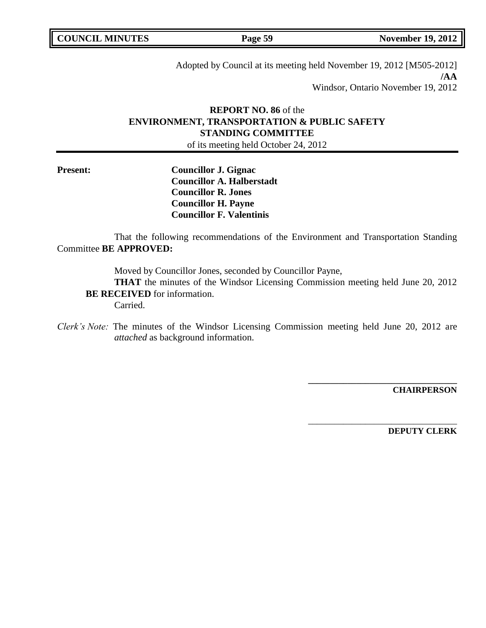**COUNCIL MINUTES Page 59 November 19, 2012** 

Adopted by Council at its meeting held November 19, 2012 [M505-2012] **/AA** Windsor, Ontario November 19, 2012

# **REPORT NO. 86** of the **ENVIRONMENT, TRANSPORTATION & PUBLIC SAFETY STANDING COMMITTEE**

of its meeting held October 24, 2012

**Present: Councillor J. Gignac Councillor A. Halberstadt Councillor R. Jones Councillor H. Payne Councillor F. Valentinis**

That the following recommendations of the Environment and Transportation Standing Committee **BE APPROVED:** 

Moved by Councillor Jones, seconded by Councillor Payne,

**THAT** the minutes of the Windsor Licensing Commission meeting held June 20, 2012 **BE RECEIVED** for information.

Carried.

*Clerk's Note:* The minutes of the Windsor Licensing Commission meeting held June 20, 2012 are *attached* as background information.

**CHAIRPERSON**

**\_\_\_\_\_\_\_\_\_\_\_\_\_\_\_\_\_\_\_\_\_\_\_\_\_\_\_\_\_\_\_\_\_\_**

\_\_\_\_\_\_\_\_\_\_\_\_\_\_\_\_\_\_\_\_\_\_\_\_\_\_\_\_\_\_\_\_\_\_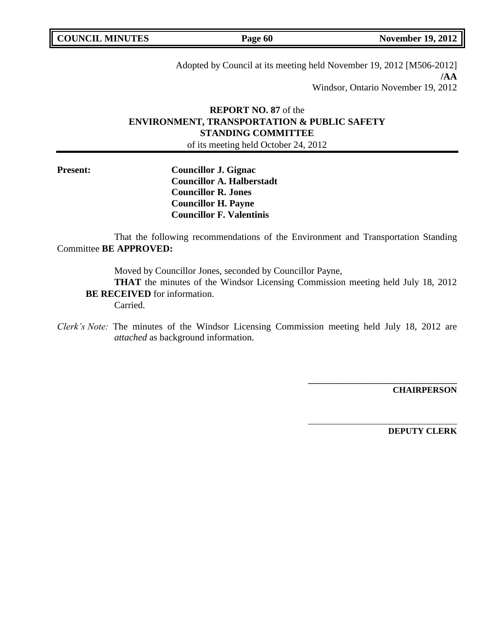| <b>COUNCIL MINUTES</b> |  |
|------------------------|--|
|------------------------|--|

Adopted by Council at its meeting held November 19, 2012 [M506-2012] **/AA** Windsor, Ontario November 19, 2012

# **REPORT NO. 87** of the **ENVIRONMENT, TRANSPORTATION & PUBLIC SAFETY STANDING COMMITTEE**

of its meeting held October 24, 2012

**Present: Councillor J. Gignac Councillor A. Halberstadt Councillor R. Jones Councillor H. Payne Councillor F. Valentinis**

That the following recommendations of the Environment and Transportation Standing Committee **BE APPROVED:** 

Moved by Councillor Jones, seconded by Councillor Payne,

**THAT** the minutes of the Windsor Licensing Commission meeting held July 18, 2012 **BE RECEIVED** for information.

Carried.

*Clerk's Note:* The minutes of the Windsor Licensing Commission meeting held July 18, 2012 are *attached* as background information.

**CHAIRPERSON**

**\_\_\_\_\_\_\_\_\_\_\_\_\_\_\_\_\_\_\_\_\_\_\_\_\_\_\_\_\_\_\_\_\_\_**

\_\_\_\_\_\_\_\_\_\_\_\_\_\_\_\_\_\_\_\_\_\_\_\_\_\_\_\_\_\_\_\_\_\_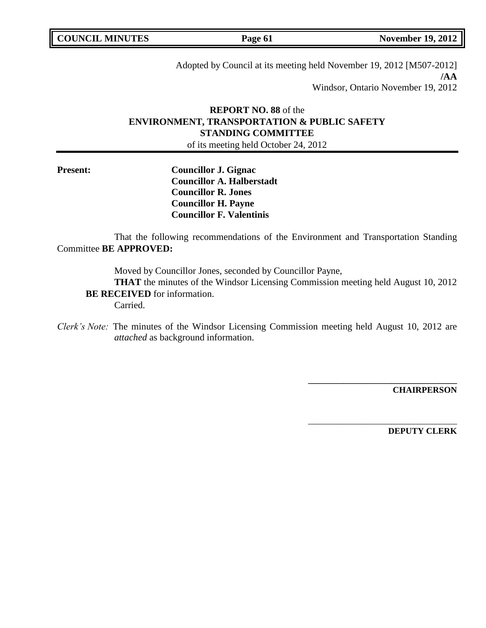Adopted by Council at its meeting held November 19, 2012 [M507-2012] **/AA** Windsor, Ontario November 19, 2012

# **REPORT NO. 88** of the **ENVIRONMENT, TRANSPORTATION & PUBLIC SAFETY STANDING COMMITTEE**

of its meeting held October 24, 2012

**Present: Councillor J. Gignac Councillor A. Halberstadt Councillor R. Jones Councillor H. Payne Councillor F. Valentinis**

That the following recommendations of the Environment and Transportation Standing Committee **BE APPROVED:** 

Moved by Councillor Jones, seconded by Councillor Payne,

**THAT** the minutes of the Windsor Licensing Commission meeting held August 10, 2012 **BE RECEIVED** for information.

Carried.

*Clerk's Note:* The minutes of the Windsor Licensing Commission meeting held August 10, 2012 are *attached* as background information.

**CHAIRPERSON**

**\_\_\_\_\_\_\_\_\_\_\_\_\_\_\_\_\_\_\_\_\_\_\_\_\_\_\_\_\_\_\_\_\_\_**

\_\_\_\_\_\_\_\_\_\_\_\_\_\_\_\_\_\_\_\_\_\_\_\_\_\_\_\_\_\_\_\_\_\_